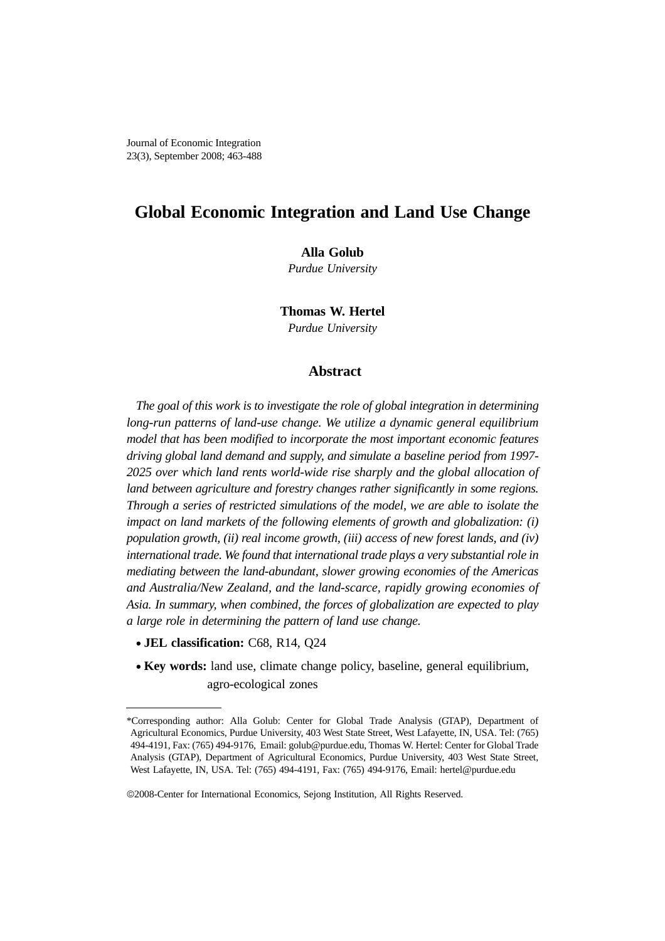# **Global Economic Integration and Land Use Change**

# **Alla Golub**

*Purdue University*

**Thomas W. Hertel**

*Purdue University*

# **Abstract**

*The goal of this work is to investigate the role of global integration in determining long-run patterns of land-use change. We utilize a dynamic general equilibrium model that has been modified to incorporate the most important economic features driving global land demand and supply, and simulate a baseline period from 1997- 2025 over which land rents world-wide rise sharply and the global allocation of land between agriculture and forestry changes rather significantly in some regions. Through a series of restricted simulations of the model, we are able to isolate the impact on land markets of the following elements of growth and globalization: (i) population growth, (ii) real income growth, (iii) access of new forest lands, and (iv) international trade. We found that international trade plays a very substantial role in mediating between the land-abundant, slower growing economies of the Americas and Australia/New Zealand, and the land-scarce, rapidly growing economies of Asia. In summary, when combined, the forces of globalization are expected to play a large role in determining the pattern of land use change.*

- **JEL classification:** C68, R14, Q24
- **Key words:** land use, climate change policy, baseline, general equilibrium, agro-ecological zones

<sup>\*</sup>Corresponding author: Alla Golub: Center for Global Trade Analysis (GTAP), Department of Agricultural Economics, Purdue University, 403 West State Street, West Lafayette, IN, USA. Tel: (765) 494-4191, Fax: (765) 494-9176, Email: golub@purdue.edu, Thomas W. Hertel: Center for Global Trade Analysis (GTAP), Department of Agricultural Economics, Purdue University, 403 West State Street, West Lafayette, IN, USA. Tel: (765) 494-4191, Fax: (765) 494-9176, Email: hertel@purdue.edu

<sup>©</sup>2008-Center for International Economics, Sejong Institution, All Rights Reserved.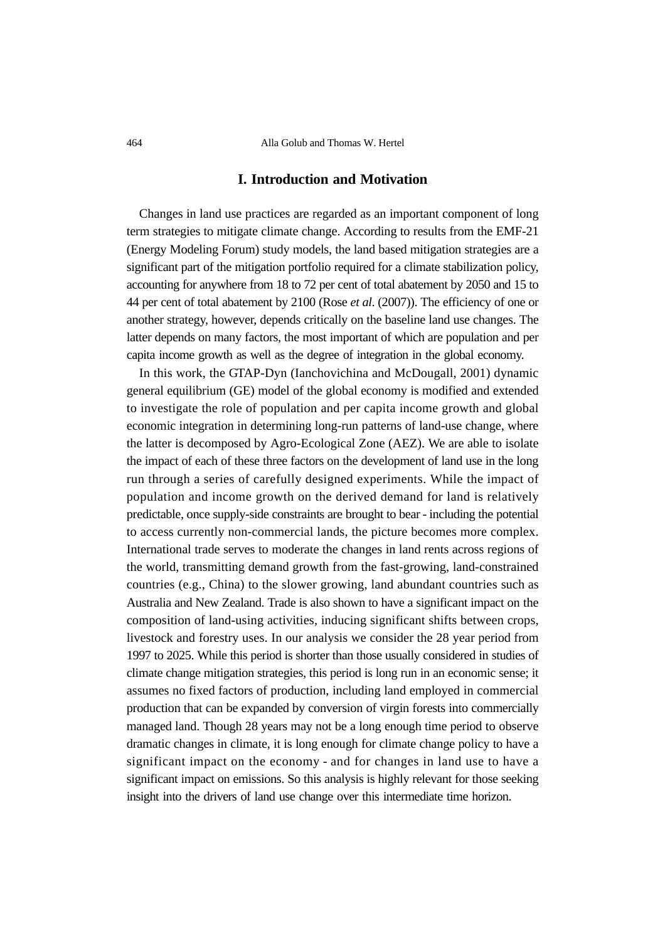464 Alla Golub and Thomas W. Hertel

# **I. Introduction and Motivation**

Changes in land use practices are regarded as an important component of long term strategies to mitigate climate change. According to results from the EMF-21 (Energy Modeling Forum) study models, the land based mitigation strategies are a significant part of the mitigation portfolio required for a climate stabilization policy, accounting for anywhere from 18 to 72 per cent of total abatement by 2050 and 15 to 44 per cent of total abatement by 2100 (Rose *et al*. (2007)). The efficiency of one or another strategy, however, depends critically on the baseline land use changes. The latter depends on many factors, the most important of which are population and per capita income growth as well as the degree of integration in the global economy.

In this work, the GTAP-Dyn (Ianchovichina and McDougall, 2001) dynamic general equilibrium (GE) model of the global economy is modified and extended to investigate the role of population and per capita income growth and global economic integration in determining long-run patterns of land-use change, where the latter is decomposed by Agro-Ecological Zone (AEZ). We are able to isolate the impact of each of these three factors on the development of land use in the long run through a series of carefully designed experiments. While the impact of population and income growth on the derived demand for land is relatively predictable, once supply-side constraints are brought to bear - including the potential to access currently non-commercial lands, the picture becomes more complex. International trade serves to moderate the changes in land rents across regions of the world, transmitting demand growth from the fast-growing, land-constrained countries (e.g., China) to the slower growing, land abundant countries such as Australia and New Zealand. Trade is also shown to have a significant impact on the composition of land-using activities, inducing significant shifts between crops, livestock and forestry uses. In our analysis we consider the 28 year period from 1997 to 2025. While this period is shorter than those usually considered in studies of climate change mitigation strategies, this period is long run in an economic sense; it assumes no fixed factors of production, including land employed in commercial production that can be expanded by conversion of virgin forests into commercially managed land. Though 28 years may not be a long enough time period to observe dramatic changes in climate, it is long enough for climate change policy to have a significant impact on the economy - and for changes in land use to have a significant impact on emissions. So this analysis is highly relevant for those seeking insight into the drivers of land use change over this intermediate time horizon.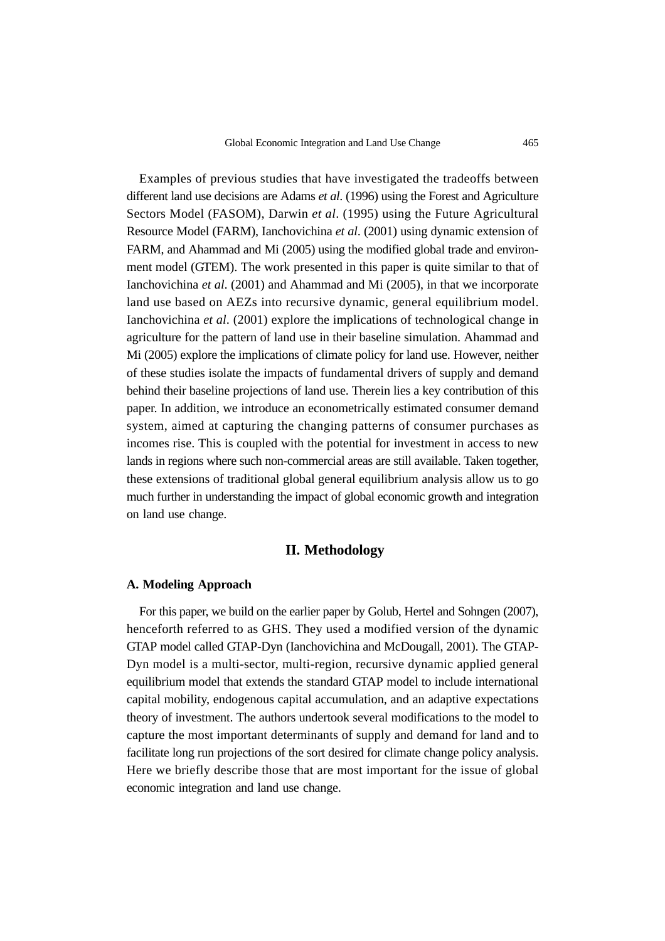Examples of previous studies that have investigated the tradeoffs between different land use decisions are Adams *et al*. (1996) using the Forest and Agriculture Sectors Model (FASOM), Darwin *et al*. (1995) using the Future Agricultural Resource Model (FARM), Ianchovichina *et al*. (2001) using dynamic extension of FARM, and Ahammad and Mi (2005) using the modified global trade and environment model (GTEM). The work presented in this paper is quite similar to that of Ianchovichina *et al*. (2001) and Ahammad and Mi (2005), in that we incorporate land use based on AEZs into recursive dynamic, general equilibrium model. Ianchovichina *et al*. (2001) explore the implications of technological change in agriculture for the pattern of land use in their baseline simulation. Ahammad and Mi (2005) explore the implications of climate policy for land use. However, neither of these studies isolate the impacts of fundamental drivers of supply and demand behind their baseline projections of land use. Therein lies a key contribution of this paper. In addition, we introduce an econometrically estimated consumer demand system, aimed at capturing the changing patterns of consumer purchases as incomes rise. This is coupled with the potential for investment in access to new lands in regions where such non-commercial areas are still available. Taken together, these extensions of traditional global general equilibrium analysis allow us to go much further in understanding the impact of global economic growth and integration on land use change.

#### **II. Methodology**

#### **A. Modeling Approach**

For this paper, we build on the earlier paper by Golub, Hertel and Sohngen (2007), henceforth referred to as GHS. They used a modified version of the dynamic GTAP model called GTAP-Dyn (Ianchovichina and McDougall, 2001). The GTAP-Dyn model is a multi-sector, multi-region, recursive dynamic applied general equilibrium model that extends the standard GTAP model to include international capital mobility, endogenous capital accumulation, and an adaptive expectations theory of investment. The authors undertook several modifications to the model to capture the most important determinants of supply and demand for land and to facilitate long run projections of the sort desired for climate change policy analysis. Here we briefly describe those that are most important for the issue of global economic integration and land use change.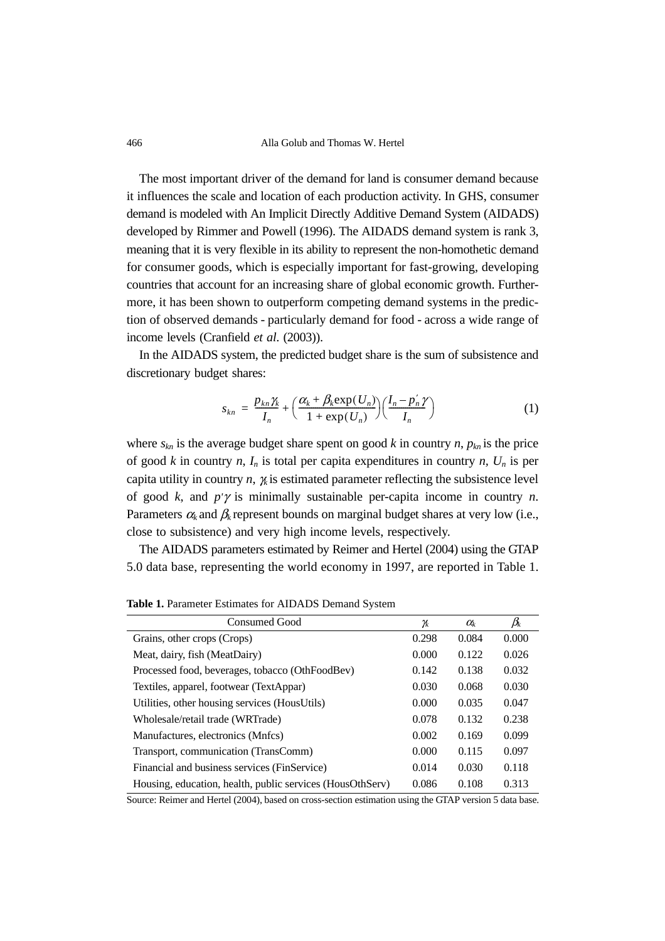466 Alla Golub and Thomas W. Hertel

The most important driver of the demand for land is consumer demand because it influences the scale and location of each production activity. In GHS, consumer demand is modeled with An Implicit Directly Additive Demand System (AIDADS) developed by Rimmer and Powell (1996). The AIDADS demand system is rank 3, meaning that it is very flexible in its ability to represent the non-homothetic demand for consumer goods, which is especially important for fast-growing, developing countries that account for an increasing share of global economic growth. Furthermore, it has been shown to outperform competing demand systems in the prediction of observed demands - particularly demand for food - across a wide range of income levels (Cranfield *et al*. (2003)).

In the AIDADS system, the predicted budget share is the sum of subsistence and discretionary budget shares:

$$
s_{kn} = \frac{p_{kn}\gamma_k}{I_n} + \left(\frac{\alpha_k + \beta_k \exp(U_n)}{1 + \exp(U_n)}\right) \left(\frac{I_n - p'_n\gamma}{I_n}\right) \tag{1}
$$

where  $s_{kn}$  is the average budget share spent on good  $k$  in country  $n$ ,  $p_{kn}$  is the price of good *k* in country *n*,  $I_n$  is total per capita expenditures in country *n*,  $U_n$  is per capita utility in country  $n$ ,  $\chi$  is estimated parameter reflecting the subsistence level of good *k*, and *p'*γ is minimally sustainable per-capita income in country *n*. Parameters  $\alpha_k$  and  $\beta_k$  represent bounds on marginal budget shares at very low (i.e., close to subsistence) and very high income levels, respectively.

The AIDADS parameters estimated by Reimer and Hertel (2004) using the GTAP 5.0 data base, representing the world economy in 1997, are reported in Table 1.

| <b>Consumed Good</b>                                      | Ҡ     | $\alpha_{\!\scriptscriptstyle k}$ | $\beta_{\!k}$ |
|-----------------------------------------------------------|-------|-----------------------------------|---------------|
| Grains, other crops (Crops)                               | 0.298 | 0.084                             | 0.000         |
| Meat, dairy, fish (MeatDairy)                             | 0.000 | 0.122                             | 0.026         |
| Processed food, beverages, tobacco (OthFoodBev)           | 0.142 | 0.138                             | 0.032         |
| Textiles, apparel, footwear (TextAppar)                   | 0.030 | 0.068                             | 0.030         |
| Utilities, other housing services (HousUtils)             | 0.000 | 0.035                             | 0.047         |
| Wholesale/retail trade (WRTrade)                          | 0.078 | 0.132                             | 0.238         |
| Manufactures, electronics (Mnfcs)                         | 0.002 | 0.169                             | 0.099         |
| Transport, communication (TransComm)                      | 0.000 | 0.115                             | 0.097         |
| Financial and business services (FinService)              | 0.014 | 0.030                             | 0.118         |
| Housing, education, health, public services (HousOthServ) | 0.086 | 0.108                             | 0.313         |

**Table 1.** Parameter Estimates for AIDADS Demand System

Source: Reimer and Hertel (2004), based on cross-section estimation using the GTAP version 5 data base.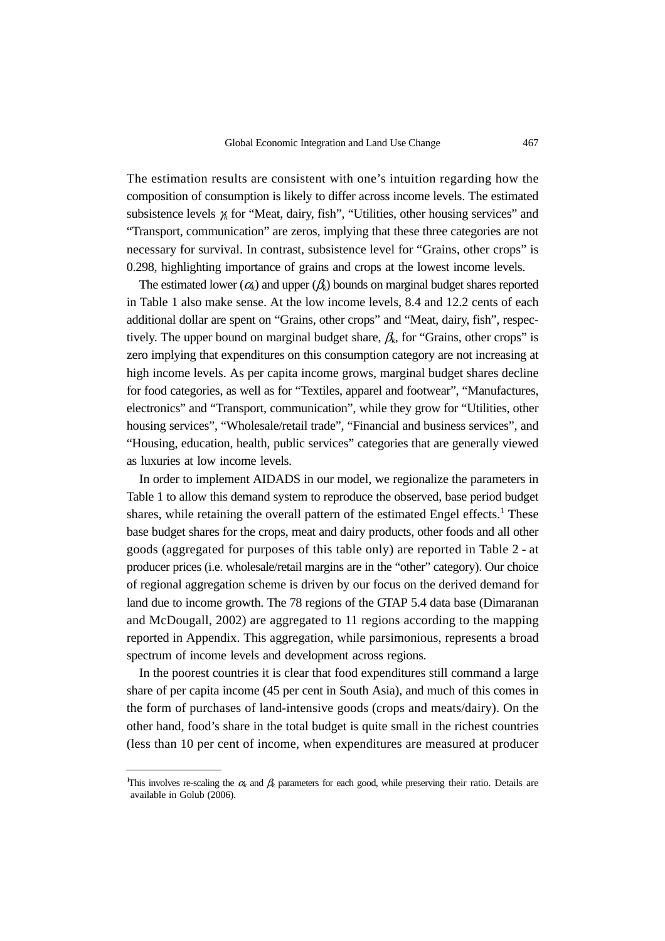The estimation results are consistent with one's intuition regarding how the composition of consumption is likely to differ across income levels. The estimated subsistence levels γ*k* for "Meat, dairy, fish", "Utilities, other housing services" and "Transport, communication" are zeros, implying that these three categories are not necessary for survival. In contrast, subsistence level for "Grains, other crops" is 0.298, highlighting importance of grains and crops at the lowest income levels.

The estimated lower  $(\alpha_k)$  and upper  $(\beta_k)$  bounds on marginal budget shares reported in Table 1 also make sense. At the low income levels, 8.4 and 12.2 cents of each additional dollar are spent on "Grains, other crops" and "Meat, dairy, fish", respectively. The upper bound on marginal budget share,  $\beta_k$ , for "Grains, other crops" is zero implying that expenditures on this consumption category are not increasing at high income levels. As per capita income grows, marginal budget shares decline for food categories, as well as for "Textiles, apparel and footwear", "Manufactures, electronics" and "Transport, communication", while they grow for "Utilities, other housing services", "Wholesale/retail trade", "Financial and business services", and "Housing, education, health, public services" categories that are generally viewed as luxuries at low income levels.

In order to implement AIDADS in our model, we regionalize the parameters in Table 1 to allow this demand system to reproduce the observed, base period budget shares, while retaining the overall pattern of the estimated Engel effects.<sup>1</sup> These base budget shares for the crops, meat and dairy products, other foods and all other goods (aggregated for purposes of this table only) are reported in Table 2 - at producer prices (i.e. wholesale/retail margins are in the "other" category). Our choice of regional aggregation scheme is driven by our focus on the derived demand for land due to income growth. The 78 regions of the GTAP 5.4 data base (Dimaranan and McDougall, 2002) are aggregated to 11 regions according to the mapping reported in Appendix. This aggregation, while parsimonious, represents a broad spectrum of income levels and development across regions.

In the poorest countries it is clear that food expenditures still command a large share of per capita income (45 per cent in South Asia), and much of this comes in the form of purchases of land-intensive goods (crops and meats/dairy). On the other hand, food's share in the total budget is quite small in the richest countries (less than 10 per cent of income, when expenditures are measured at producer

This involves re-scaling the  $\alpha_k$  and  $\beta_k$  parameters for each good, while preserving their ratio. Details are available in Golub (2006).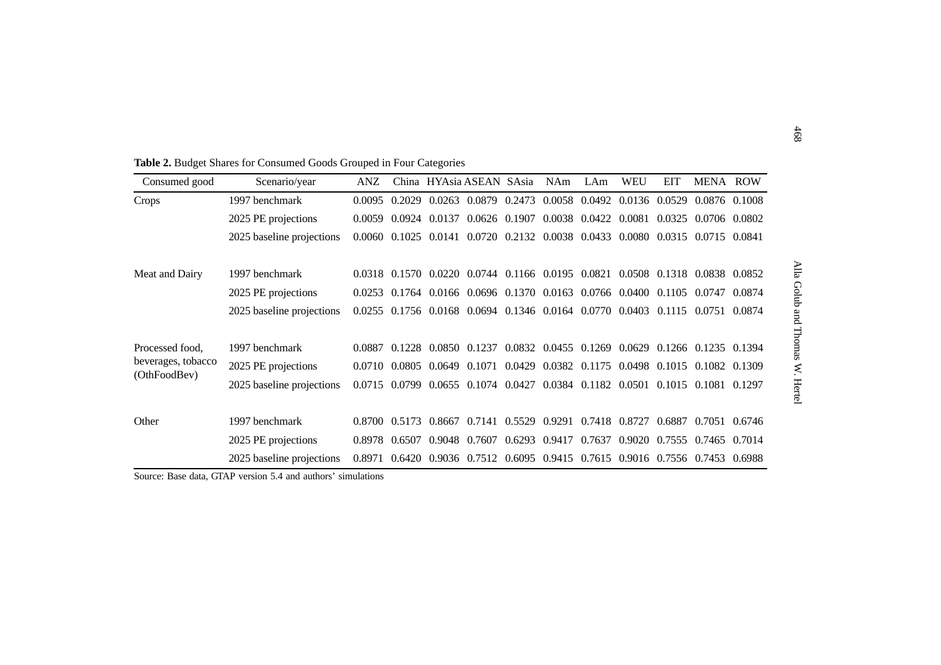| Consumed good      | Scenario/year             | ANZ    |        | China HYAsia ASEAN SAsia                                                     |                      |               | <b>NAm</b>                         | LAm           | <b>WEU</b>    | <b>EIT</b> | MENA ROW                                                       |        |
|--------------------|---------------------------|--------|--------|------------------------------------------------------------------------------|----------------------|---------------|------------------------------------|---------------|---------------|------------|----------------------------------------------------------------|--------|
| Crops              | 1997 benchmark            | 0.0095 | 0.2029 | 0.0263 0.0879 0.2473                                                         |                      |               |                                    | 0.0058 0.0492 | 0.0136 0.0529 |            | 0.0876 0.1008                                                  |        |
|                    | 2025 PE projections       | 0.0059 |        | 0.0924 0.0137                                                                | 0.0626 0.1907        |               | 0.0038 0.0422                      |               | 0.0081 0.0325 |            | 0.0706 0.0802                                                  |        |
|                    | 2025 baseline projections | 0.0060 |        | 0.1025 0.0141 0.0720 0.2132 0.0038 0.0433                                    |                      |               |                                    |               | 0.0080 0.0315 |            | 0.0715 0.0841                                                  |        |
| Meat and Dairy     | 1997 benchmark            |        |        | 0.0318 0.1570 0.0220 0.0744 0.1166 0.0195 0.0821 0.0508 0.1318 0.0838 0.0852 |                      |               |                                    |               |               |            |                                                                |        |
|                    | 2025 PE projections       |        |        | 0.0253 0.1764 0.0166 0.0696 0.1370 0.0163 0.0766 0.0400 0.1105               |                      |               |                                    |               |               |            | 0.0747                                                         | 0.0874 |
|                    | 2025 baseline projections | 0.0255 |        | 0.1756 0.0168 0.0694 0.1346 0.0164 0.0770 0.0403                             |                      |               |                                    |               |               | 0.1115     | 0.0751                                                         | 0.0874 |
| Processed food.    | 1997 benchmark            | 0.0887 |        | 0.1228 0.0850 0.1237                                                         |                      |               |                                    |               |               |            | 0.0832 0.0455 0.1269 0.0629 0.1266 0.1235 0.1394               |        |
| beverages, tobacco | 2025 PE projections       | 0.0710 |        | 0.0805 0.0649 0.1071                                                         |                      |               |                                    |               |               |            | 0.0429 0.0382 0.1175 0.0498 0.1015 0.1082 0.1309               |        |
| (OthFoodBev)       | 2025 baseline projections | 0.0715 | 0.0799 |                                                                              | 0.0655 0.1074 0.0427 |               |                                    |               |               |            | 0.0384 0.1182 0.0501 0.1015 0.1081 0.1297                      |        |
| Other              | 1997 benchmark            | 0.8700 | 0.5173 | 0.8667                                                                       |                      |               | 0.7141 0.5529 0.9291 0.7418 0.8727 |               |               | 0.6887     | 0.7051 0.6746                                                  |        |
|                    | 2025 PE projections       | 0.8978 | 0.6507 | 0.9048 0.7607                                                                |                      | 0.6293 0.9417 |                                    | 0.7637        | 0.9020 0.7555 |            | 0.7465 0.7014                                                  |        |
|                    | 2025 baseline projections | 0.8971 | 0.6420 |                                                                              |                      |               |                                    |               |               |            | 0.9036 0.7512 0.6095 0.9415 0.7615 0.9016 0.7556 0.7453 0.6988 |        |

Source: Base data, GTAP version 5.4 and authors' simulations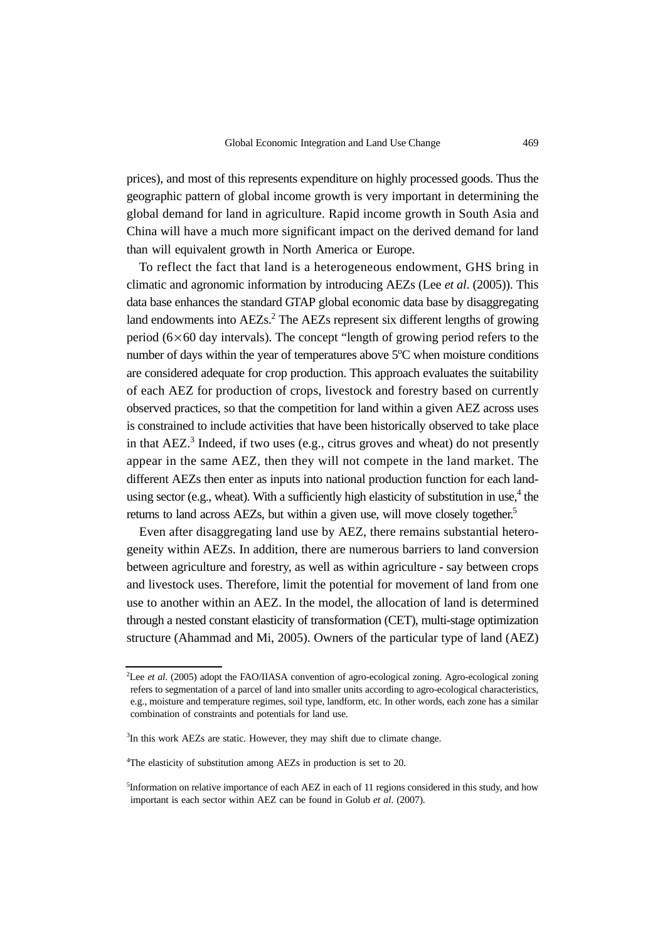prices), and most of this represents expenditure on highly processed goods. Thus the geographic pattern of global income growth is very important in determining the global demand for land in agriculture. Rapid income growth in South Asia and China will have a much more significant impact on the derived demand for land than will equivalent growth in North America or Europe.

To reflect the fact that land is a heterogeneous endowment, GHS bring in climatic and agronomic information by introducing AEZs (Lee *et al*. (2005)). This data base enhances the standard GTAP global economic data base by disaggregating land endowments into AEZs.<sup>2</sup> The AEZs represent six different lengths of growing period  $(6\times60$  day intervals). The concept "length of growing period refers to the number of days within the year of temperatures above  $5^{\circ}$ C when moisture conditions are considered adequate for crop production. This approach evaluates the suitability of each AEZ for production of crops, livestock and forestry based on currently observed practices, so that the competition for land within a given AEZ across uses is constrained to include activities that have been historically observed to take place in that  $AEZ$ <sup>3</sup> Indeed, if two uses (e.g., citrus groves and wheat) do not presently appear in the same AEZ, then they will not compete in the land market. The different AEZs then enter as inputs into national production function for each landusing sector (e.g., wheat). With a sufficiently high elasticity of substitution in use, $4$  the returns to land across AEZs, but within a given use, will move closely together.<sup>5</sup>

Even after disaggregating land use by AEZ, there remains substantial heterogeneity within AEZs. In addition, there are numerous barriers to land conversion between agriculture and forestry, as well as within agriculture - say between crops and livestock uses. Therefore, limit the potential for movement of land from one use to another within an AEZ. In the model, the allocation of land is determined through a nested constant elasticity of transformation (CET), multi-stage optimization structure (Ahammad and Mi, 2005). Owners of the particular type of land (AEZ)

<sup>2</sup> Lee *et al*. (2005) adopt the FAO/IIASA convention of agro-ecological zoning. Agro-ecological zoning refers to segmentation of a parcel of land into smaller units according to agro-ecological characteristics, e.g., moisture and temperature regimes, soil type, landform, etc. In other words, each zone has a similar combination of constraints and potentials for land use.

<sup>&</sup>lt;sup>3</sup>In this work AEZs are static. However, they may shift due to climate change.

<sup>&</sup>lt;sup>4</sup>The elasticity of substitution among AEZs in production is set to 20.

<sup>5</sup> Information on relative importance of each AEZ in each of 11 regions considered in this study, and how important is each sector within AEZ can be found in Golub *et al*. (2007).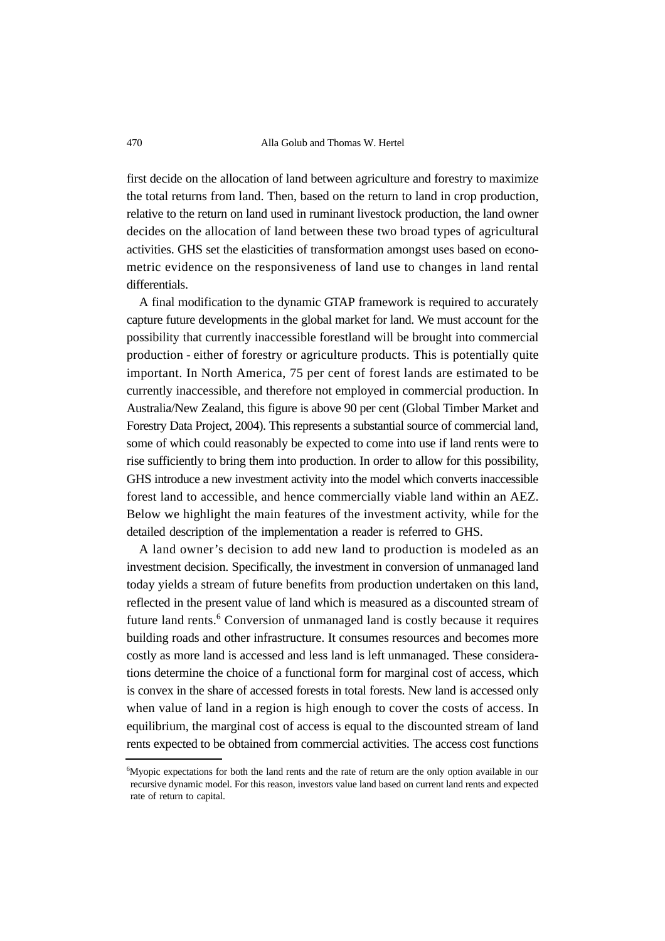first decide on the allocation of land between agriculture and forestry to maximize the total returns from land. Then, based on the return to land in crop production, relative to the return on land used in ruminant livestock production, the land owner decides on the allocation of land between these two broad types of agricultural activities. GHS set the elasticities of transformation amongst uses based on econometric evidence on the responsiveness of land use to changes in land rental differentials.

A final modification to the dynamic GTAP framework is required to accurately capture future developments in the global market for land. We must account for the possibility that currently inaccessible forestland will be brought into commercial production - either of forestry or agriculture products. This is potentially quite important. In North America, 75 per cent of forest lands are estimated to be currently inaccessible, and therefore not employed in commercial production. In Australia/New Zealand, this figure is above 90 per cent (Global Timber Market and Forestry Data Project, 2004). This represents a substantial source of commercial land, some of which could reasonably be expected to come into use if land rents were to rise sufficiently to bring them into production. In order to allow for this possibility, GHS introduce a new investment activity into the model which converts inaccessible forest land to accessible, and hence commercially viable land within an AEZ. Below we highlight the main features of the investment activity, while for the detailed description of the implementation a reader is referred to GHS.

A land owner's decision to add new land to production is modeled as an investment decision. Specifically, the investment in conversion of unmanaged land today yields a stream of future benefits from production undertaken on this land, reflected in the present value of land which is measured as a discounted stream of future land rents.<sup>6</sup> Conversion of unmanaged land is costly because it requires building roads and other infrastructure. It consumes resources and becomes more costly as more land is accessed and less land is left unmanaged. These considerations determine the choice of a functional form for marginal cost of access, which is convex in the share of accessed forests in total forests. New land is accessed only when value of land in a region is high enough to cover the costs of access. In equilibrium, the marginal cost of access is equal to the discounted stream of land rents expected to be obtained from commercial activities. The access cost functions

<sup>6</sup> Myopic expectations for both the land rents and the rate of return are the only option available in our recursive dynamic model. For this reason, investors value land based on current land rents and expected rate of return to capital.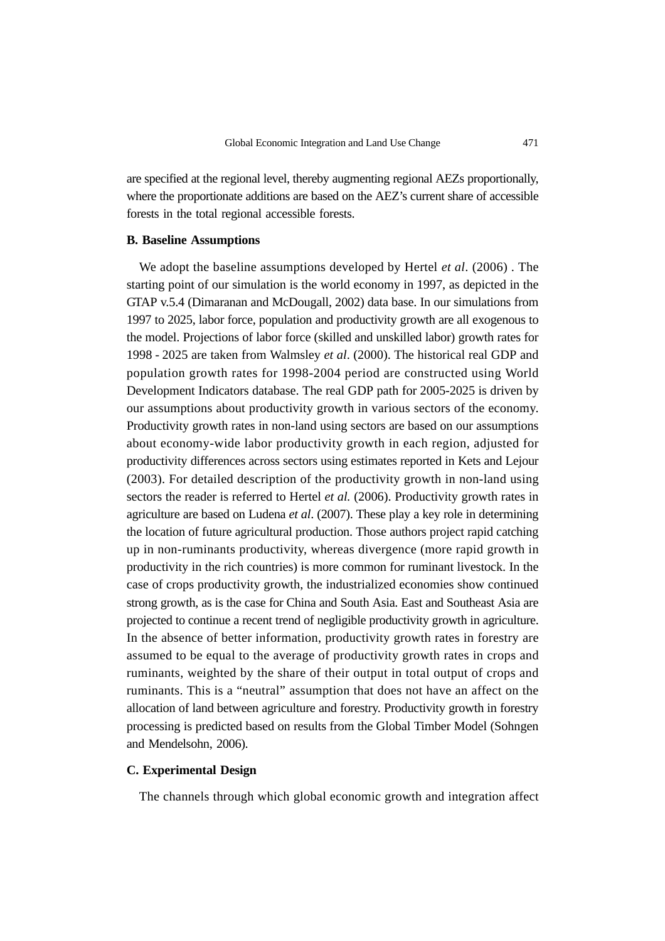are specified at the regional level, thereby augmenting regional AEZs proportionally, where the proportionate additions are based on the AEZ's current share of accessible forests in the total regional accessible forests.

#### **B. Baseline Assumptions**

We adopt the baseline assumptions developed by Hertel *et al*. (2006) . The starting point of our simulation is the world economy in 1997, as depicted in the GTAP v.5.4 (Dimaranan and McDougall, 2002) data base. In our simulations from 1997 to 2025, labor force, population and productivity growth are all exogenous to the model. Projections of labor force (skilled and unskilled labor) growth rates for 1998 - 2025 are taken from Walmsley *et al*. (2000). The historical real GDP and population growth rates for 1998-2004 period are constructed using World Development Indicators database. The real GDP path for 2005-2025 is driven by our assumptions about productivity growth in various sectors of the economy. Productivity growth rates in non-land using sectors are based on our assumptions about economy-wide labor productivity growth in each region, adjusted for productivity differences across sectors using estimates reported in Kets and Lejour (2003). For detailed description of the productivity growth in non-land using sectors the reader is referred to Hertel *et al.* (2006). Productivity growth rates in agriculture are based on Ludena *et al*. (2007). These play a key role in determining the location of future agricultural production. Those authors project rapid catching up in non-ruminants productivity, whereas divergence (more rapid growth in productivity in the rich countries) is more common for ruminant livestock. In the case of crops productivity growth, the industrialized economies show continued strong growth, as is the case for China and South Asia. East and Southeast Asia are projected to continue a recent trend of negligible productivity growth in agriculture. In the absence of better information, productivity growth rates in forestry are assumed to be equal to the average of productivity growth rates in crops and ruminants, weighted by the share of their output in total output of crops and ruminants. This is a "neutral" assumption that does not have an affect on the allocation of land between agriculture and forestry. Productivity growth in forestry processing is predicted based on results from the Global Timber Model (Sohngen and Mendelsohn, 2006).

#### **C. Experimental Design**

The channels through which global economic growth and integration affect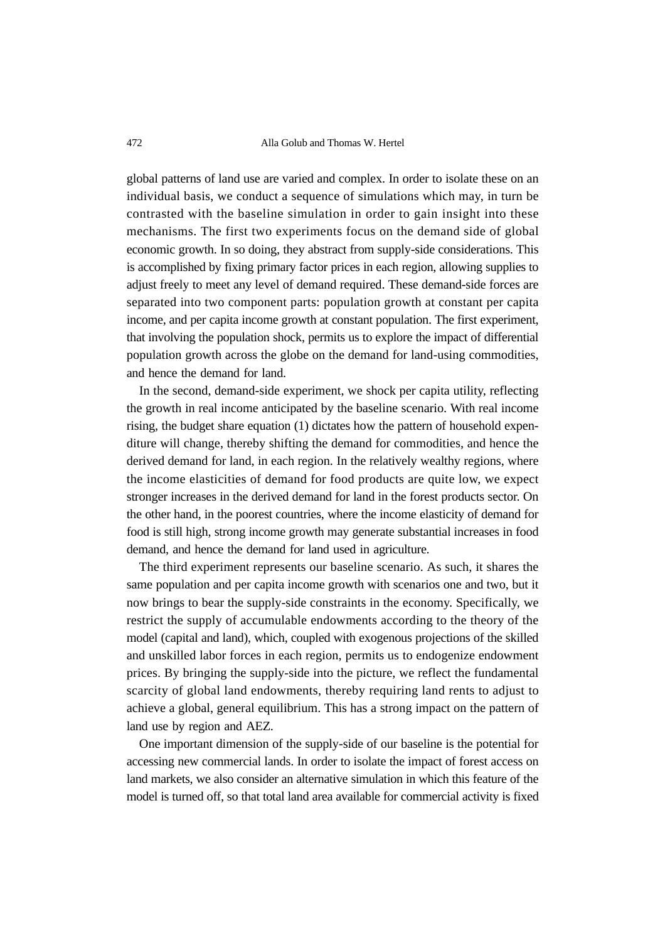#### 472 Alla Golub and Thomas W. Hertel

global patterns of land use are varied and complex. In order to isolate these on an individual basis, we conduct a sequence of simulations which may, in turn be contrasted with the baseline simulation in order to gain insight into these mechanisms. The first two experiments focus on the demand side of global economic growth. In so doing, they abstract from supply-side considerations. This is accomplished by fixing primary factor prices in each region, allowing supplies to adjust freely to meet any level of demand required. These demand-side forces are separated into two component parts: population growth at constant per capita income, and per capita income growth at constant population. The first experiment, that involving the population shock, permits us to explore the impact of differential population growth across the globe on the demand for land-using commodities, and hence the demand for land.

In the second, demand-side experiment, we shock per capita utility, reflecting the growth in real income anticipated by the baseline scenario. With real income rising, the budget share equation (1) dictates how the pattern of household expenditure will change, thereby shifting the demand for commodities, and hence the derived demand for land, in each region. In the relatively wealthy regions, where the income elasticities of demand for food products are quite low, we expect stronger increases in the derived demand for land in the forest products sector. On the other hand, in the poorest countries, where the income elasticity of demand for food is still high, strong income growth may generate substantial increases in food demand, and hence the demand for land used in agriculture.

The third experiment represents our baseline scenario. As such, it shares the same population and per capita income growth with scenarios one and two, but it now brings to bear the supply-side constraints in the economy. Specifically, we restrict the supply of accumulable endowments according to the theory of the model (capital and land), which, coupled with exogenous projections of the skilled and unskilled labor forces in each region, permits us to endogenize endowment prices. By bringing the supply-side into the picture, we reflect the fundamental scarcity of global land endowments, thereby requiring land rents to adjust to achieve a global, general equilibrium. This has a strong impact on the pattern of land use by region and AEZ.

One important dimension of the supply-side of our baseline is the potential for accessing new commercial lands. In order to isolate the impact of forest access on land markets, we also consider an alternative simulation in which this feature of the model is turned off, so that total land area available for commercial activity is fixed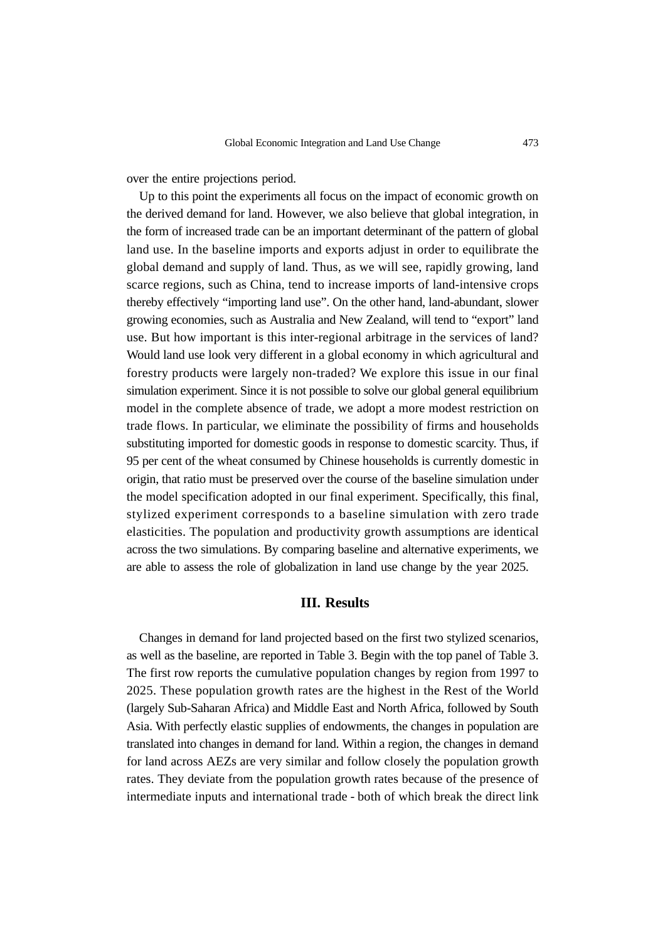over the entire projections period.

Up to this point the experiments all focus on the impact of economic growth on the derived demand for land. However, we also believe that global integration, in the form of increased trade can be an important determinant of the pattern of global land use. In the baseline imports and exports adjust in order to equilibrate the global demand and supply of land. Thus, as we will see, rapidly growing, land scarce regions, such as China, tend to increase imports of land-intensive crops thereby effectively "importing land use". On the other hand, land-abundant, slower growing economies, such as Australia and New Zealand, will tend to "export" land use. But how important is this inter-regional arbitrage in the services of land? Would land use look very different in a global economy in which agricultural and forestry products were largely non-traded? We explore this issue in our final simulation experiment. Since it is not possible to solve our global general equilibrium model in the complete absence of trade, we adopt a more modest restriction on trade flows. In particular, we eliminate the possibility of firms and households substituting imported for domestic goods in response to domestic scarcity. Thus, if 95 per cent of the wheat consumed by Chinese households is currently domestic in origin, that ratio must be preserved over the course of the baseline simulation under the model specification adopted in our final experiment. Specifically, this final, stylized experiment corresponds to a baseline simulation with zero trade elasticities. The population and productivity growth assumptions are identical across the two simulations. By comparing baseline and alternative experiments, we are able to assess the role of globalization in land use change by the year 2025.

#### **III. Results**

Changes in demand for land projected based on the first two stylized scenarios, as well as the baseline, are reported in Table 3. Begin with the top panel of Table 3. The first row reports the cumulative population changes by region from 1997 to 2025. These population growth rates are the highest in the Rest of the World (largely Sub-Saharan Africa) and Middle East and North Africa, followed by South Asia. With perfectly elastic supplies of endowments, the changes in population are translated into changes in demand for land. Within a region, the changes in demand for land across AEZs are very similar and follow closely the population growth rates. They deviate from the population growth rates because of the presence of intermediate inputs and international trade - both of which break the direct link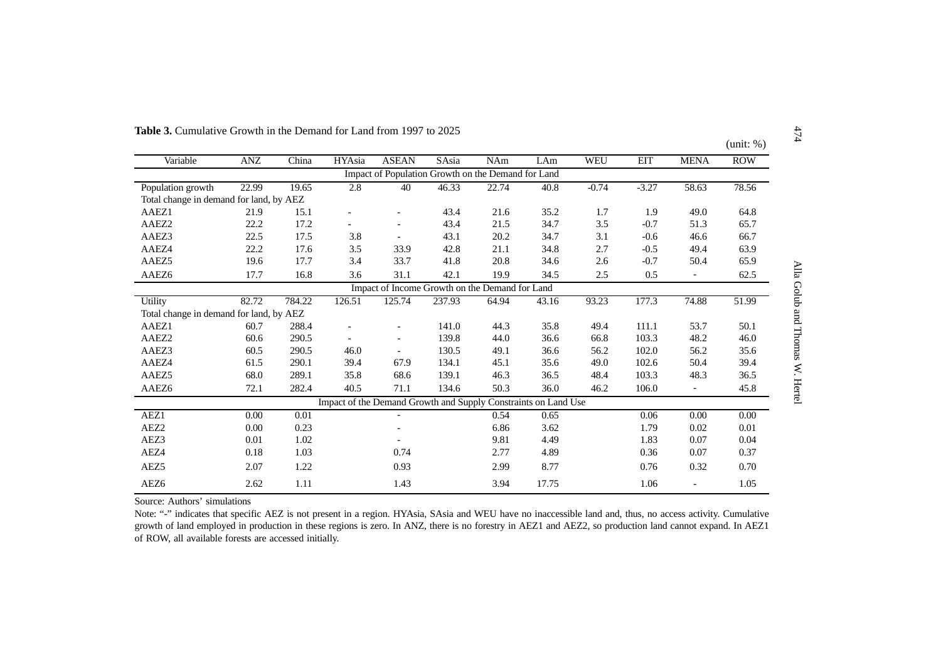|                                         |            |        |               |                                                                |        |       |       |            |            |             | (unit: %)  |
|-----------------------------------------|------------|--------|---------------|----------------------------------------------------------------|--------|-------|-------|------------|------------|-------------|------------|
| Variable                                | <b>ANZ</b> | China  | <b>HYAsia</b> | <b>ASEAN</b>                                                   | SAsia  | NAm   | LAm   | <b>WEU</b> | <b>EIT</b> | <b>MENA</b> | <b>ROW</b> |
|                                         |            |        |               | Impact of Population Growth on the Demand for Land             |        |       |       |            |            |             |            |
| Population growth                       | 22.99      | 19.65  | 2.8           | 40                                                             | 46.33  | 22.74 | 40.8  | $-0.74$    | $-3.27$    | 58.63       | 78.56      |
| Total change in demand for land, by AEZ |            |        |               |                                                                |        |       |       |            |            |             |            |
| AAEZ1                                   | 21.9       | 15.1   |               |                                                                | 43.4   | 21.6  | 35.2  | 1.7        | 1.9        | 49.0        | 64.8       |
| AAEZ2                                   | 22.2       | 17.2   |               |                                                                | 43.4   | 21.5  | 34.7  | 3.5        | $-0.7$     | 51.3        | 65.7       |
| AAEZ3                                   | 22.5       | 17.5   | 3.8           |                                                                | 43.1   | 20.2  | 34.7  | 3.1        | $-0.6$     | 46.6        | 66.7       |
| AAEZ4                                   | 22.2       | 17.6   | 3.5           | 33.9                                                           | 42.8   | 21.1  | 34.8  | 2.7        | $-0.5$     | 49.4        | 63.9       |
| AAEZ5                                   | 19.6       | 17.7   | 3.4           | 33.7                                                           | 41.8   | 20.8  | 34.6  | 2.6        | $-0.7$     | 50.4        | 65.9       |
| AAEZ6                                   | 17.7       | 16.8   | 3.6           | 31.1                                                           | 42.1   | 19.9  | 34.5  | 2.5        | 0.5        |             | 62.5       |
|                                         |            |        |               | Impact of Income Growth on the Demand for Land                 |        |       |       |            |            |             |            |
| Utility                                 | 82.72      | 784.22 | 126.51        | 125.74                                                         | 237.93 | 64.94 | 43.16 | 93.23      | 177.3      | 74.88       | 51.99      |
| Total change in demand for land, by AEZ |            |        |               |                                                                |        |       |       |            |            |             |            |
| AAEZ1                                   | 60.7       | 288.4  |               |                                                                | 141.0  | 44.3  | 35.8  | 49.4       | 111.1      | 53.7        | 50.1       |
| AAEZ2                                   | 60.6       | 290.5  |               |                                                                | 139.8  | 44.0  | 36.6  | 66.8       | 103.3      | 48.2        | 46.0       |
| AAEZ3                                   | 60.5       | 290.5  | 46.0          |                                                                | 130.5  | 49.1  | 36.6  | 56.2       | 102.0      | 56.2        | 35.6       |
| AAEZ4                                   | 61.5       | 290.1  | 39.4          | 67.9                                                           | 134.1  | 45.1  | 35.6  | 49.0       | 102.6      | 50.4        | 39.4       |
| AAEZ5                                   | 68.0       | 289.1  | 35.8          | 68.6                                                           | 139.1  | 46.3  | 36.5  | 48.4       | 103.3      | 48.3        | 36.5       |
| AAEZ6                                   | 72.1       | 282.4  | 40.5          | 71.1                                                           | 134.6  | 50.3  | 36.0  | 46.2       | 106.0      |             | 45.8       |
|                                         |            |        |               | Impact of the Demand Growth and Supply Constraints on Land Use |        |       |       |            |            |             |            |
| AEZ1                                    | 0.00       | 0.01   |               |                                                                |        | 0.54  | 0.65  |            | 0.06       | 0.00        | $0.00\,$   |
| AEZ <sub>2</sub>                        | 0.00       | 0.23   |               |                                                                |        | 6.86  | 3.62  |            | 1.79       | 0.02        | 0.01       |
| AEZ3                                    | 0.01       | 1.02   |               |                                                                |        | 9.81  | 4.49  |            | 1.83       | 0.07        | 0.04       |
| AEZ4                                    | 0.18       | 1.03   |               | 0.74                                                           |        | 2.77  | 4.89  |            | 0.36       | 0.07        | 0.37       |
| AEZ <sub>5</sub>                        | 2.07       | 1.22   |               | 0.93                                                           |        | 2.99  | 8.77  |            | 0.76       | 0.32        | 0.70       |
| AEZ <sub>6</sub>                        | 2.62       | 1.11   |               | 1.43                                                           |        | 3.94  | 17.75 |            | 1.06       |             | 1.05       |
|                                         |            |        |               |                                                                |        |       |       |            |            |             |            |

Source: Authors' simulations

Note: "-" indicates that specific AEZ is not present in a region. HYAsia, SAsia and WEU have no inaccessible land and, thus, no access activity. Cumulative growth of land employed in production in these regions is zero. In ANZ, there is no forestry in AEZ1 and AEZ2, so production land cannot expand. In AEZ1 of ROW, all available forests are accessed initially.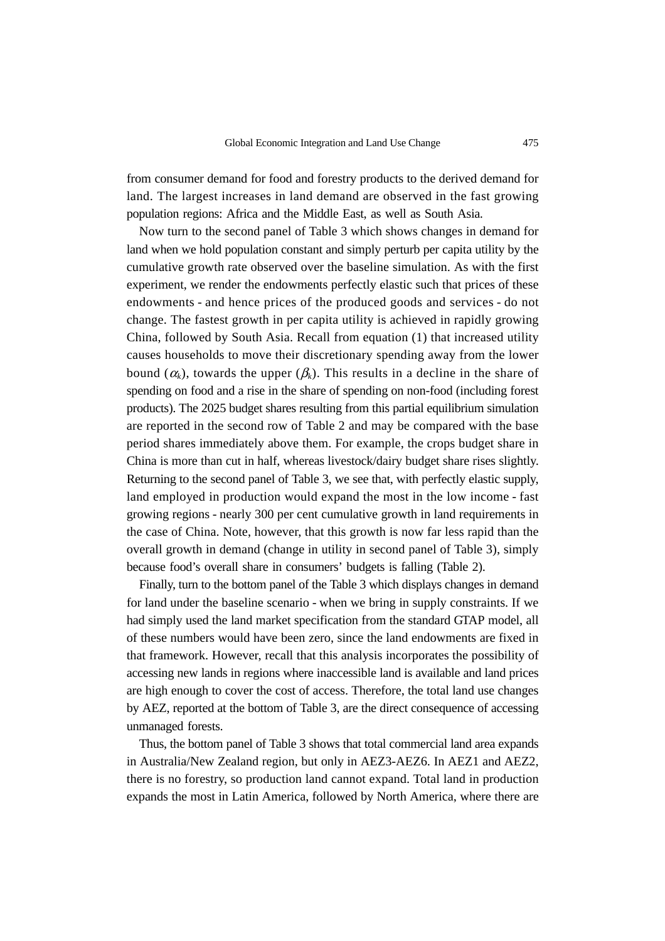from consumer demand for food and forestry products to the derived demand for land. The largest increases in land demand are observed in the fast growing population regions: Africa and the Middle East, as well as South Asia.

Now turn to the second panel of Table 3 which shows changes in demand for land when we hold population constant and simply perturb per capita utility by the cumulative growth rate observed over the baseline simulation. As with the first experiment, we render the endowments perfectly elastic such that prices of these endowments - and hence prices of the produced goods and services - do not change. The fastest growth in per capita utility is achieved in rapidly growing China, followed by South Asia. Recall from equation (1) that increased utility causes households to move their discretionary spending away from the lower bound  $(\alpha_k)$ , towards the upper  $(\beta_k)$ . This results in a decline in the share of spending on food and a rise in the share of spending on non-food (including forest products). The 2025 budget shares resulting from this partial equilibrium simulation are reported in the second row of Table 2 and may be compared with the base period shares immediately above them. For example, the crops budget share in China is more than cut in half, whereas livestock/dairy budget share rises slightly. Returning to the second panel of Table 3, we see that, with perfectly elastic supply, land employed in production would expand the most in the low income - fast growing regions - nearly 300 per cent cumulative growth in land requirements in the case of China. Note, however, that this growth is now far less rapid than the overall growth in demand (change in utility in second panel of Table 3), simply because food's overall share in consumers' budgets is falling (Table 2).

Finally, turn to the bottom panel of the Table 3 which displays changes in demand for land under the baseline scenario - when we bring in supply constraints. If we had simply used the land market specification from the standard GTAP model, all of these numbers would have been zero, since the land endowments are fixed in that framework. However, recall that this analysis incorporates the possibility of accessing new lands in regions where inaccessible land is available and land prices are high enough to cover the cost of access. Therefore, the total land use changes by AEZ, reported at the bottom of Table 3, are the direct consequence of accessing unmanaged forests.

Thus, the bottom panel of Table 3 shows that total commercial land area expands in Australia/New Zealand region, but only in AEZ3-AEZ6. In AEZ1 and AEZ2, there is no forestry, so production land cannot expand. Total land in production expands the most in Latin America, followed by North America, where there are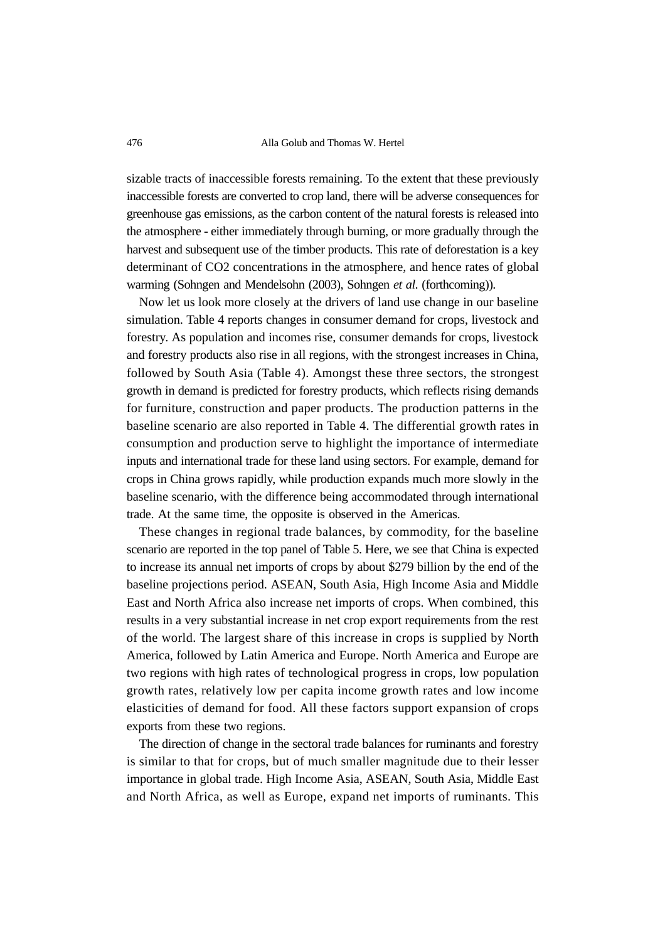sizable tracts of inaccessible forests remaining. To the extent that these previously inaccessible forests are converted to crop land, there will be adverse consequences for greenhouse gas emissions, as the carbon content of the natural forests is released into the atmosphere - either immediately through burning, or more gradually through the harvest and subsequent use of the timber products. This rate of deforestation is a key determinant of CO2 concentrations in the atmosphere, and hence rates of global warming (Sohngen and Mendelsohn (2003), Sohngen *et al*. (forthcoming)).

Now let us look more closely at the drivers of land use change in our baseline simulation. Table 4 reports changes in consumer demand for crops, livestock and forestry. As population and incomes rise, consumer demands for crops, livestock and forestry products also rise in all regions, with the strongest increases in China, followed by South Asia (Table 4). Amongst these three sectors, the strongest growth in demand is predicted for forestry products, which reflects rising demands for furniture, construction and paper products. The production patterns in the baseline scenario are also reported in Table 4. The differential growth rates in consumption and production serve to highlight the importance of intermediate inputs and international trade for these land using sectors. For example, demand for crops in China grows rapidly, while production expands much more slowly in the baseline scenario, with the difference being accommodated through international trade. At the same time, the opposite is observed in the Americas.

These changes in regional trade balances, by commodity, for the baseline scenario are reported in the top panel of Table 5. Here, we see that China is expected to increase its annual net imports of crops by about \$279 billion by the end of the baseline projections period. ASEAN, South Asia, High Income Asia and Middle East and North Africa also increase net imports of crops. When combined, this results in a very substantial increase in net crop export requirements from the rest of the world. The largest share of this increase in crops is supplied by North America, followed by Latin America and Europe. North America and Europe are two regions with high rates of technological progress in crops, low population growth rates, relatively low per capita income growth rates and low income elasticities of demand for food. All these factors support expansion of crops exports from these two regions.

The direction of change in the sectoral trade balances for ruminants and forestry is similar to that for crops, but of much smaller magnitude due to their lesser importance in global trade. High Income Asia, ASEAN, South Asia, Middle East and North Africa, as well as Europe, expand net imports of ruminants. This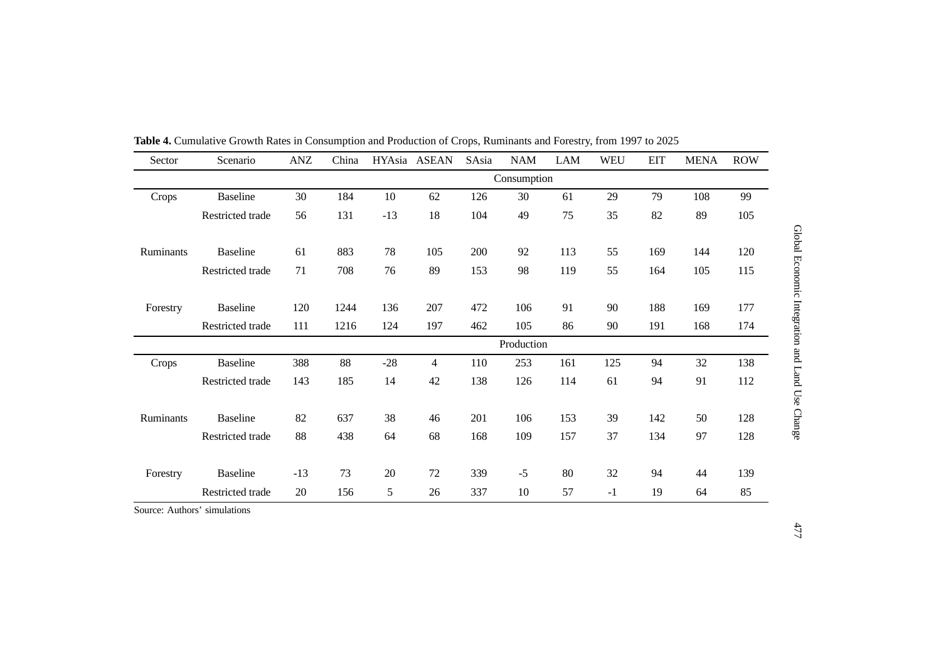| Sector    | Scenario         | ANZ        | China       |       | HYAsia ASEAN   | SAsia | <b>NAM</b> | LAM | <b>WEU</b> | <b>EIT</b> | <b>MENA</b> | <b>ROW</b> |
|-----------|------------------|------------|-------------|-------|----------------|-------|------------|-----|------------|------------|-------------|------------|
|           |                  |            | Consumption |       |                |       |            |     |            |            |             |            |
| Crops     | <b>Baseline</b>  | 30         | 184         | 10    | 62             | 126   | 30         | 61  | 29         | 79         | 108         | 99         |
|           | Restricted trade | 56         | 131         | $-13$ | 18             | 104   | 49         | 75  | 35         | 82         | 89          | 105        |
| Ruminants | <b>Baseline</b>  | 61         | 883         | 78    | 105            | 200   | 92         | 113 | 55         | 169        | 144         | 120        |
|           | Restricted trade | 71         | 708         | 76    | 89             | 153   | 98         | 119 | 55         | 164        | 105         | 115        |
| Forestry  | <b>Baseline</b>  | 120        | 1244        | 136   | 207            | 472   | 106        | 91  | 90         | 188        | 169         | 177        |
|           | Restricted trade | 111        | 1216        | 124   | 197            | 462   | 105        | 86  | 90         | 191        | 168         | 174        |
|           |                  | Production |             |       |                |       |            |     |            |            |             |            |
| Crops     | <b>Baseline</b>  | 388        | 88          | $-28$ | $\overline{4}$ | 110   | 253        | 161 | 125        | 94         | 32          | 138        |
|           | Restricted trade | 143        | 185         | 14    | 42             | 138   | 126        | 114 | 61         | 94         | 91          | 112        |
| Ruminants | <b>Baseline</b>  | 82         | 637         | 38    | 46             | 201   | 106        | 153 | 39         | 142        | 50          | 128        |
|           | Restricted trade | 88         | 438         | 64    | 68             | 168   | 109        | 157 | 37         | 134        | 97          | 128        |
| Forestry  | <b>Baseline</b>  | $-13$      | 73          | 20    | 72             | 339   | $-5$       | 80  | 32         | 94         | 44          | 139        |
|           | Restricted trade | 20         | 156         | 5     | 26             | 337   | 10         | 57  | $-1$       | 19         | 64          | 85         |

**Table 4.** Cumulative Growth Rates in Consumption and Production of Crops, Ruminants and Forestry, from 1997 to 2025

Source: Authors' simulations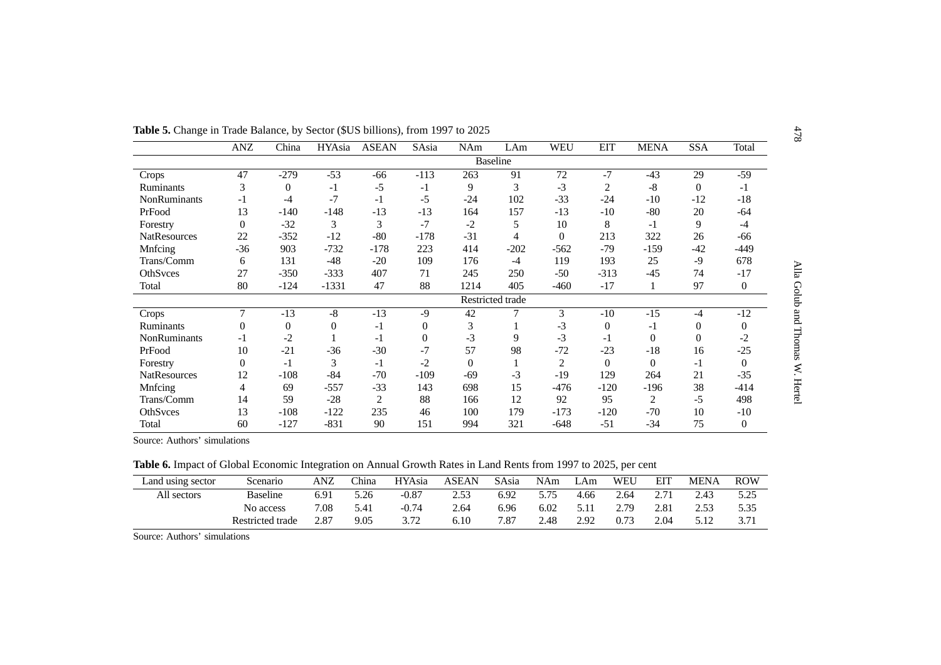| <b>Table 5.</b> Change in Trade Balance, by Sector (\$US billions), from 1997 to 2025 |                |          |              |              |                |          |                  |                 |                |             |            |                  |
|---------------------------------------------------------------------------------------|----------------|----------|--------------|--------------|----------------|----------|------------------|-----------------|----------------|-------------|------------|------------------|
|                                                                                       | ANZ            | China    | HYAsia       | <b>ASEAN</b> | SAsia          | NAm      | LAm              | <b>WEU</b>      | <b>EIT</b>     | <b>MENA</b> | <b>SSA</b> | Total            |
|                                                                                       |                |          |              |              |                |          | <b>Baseline</b>  |                 |                |             |            |                  |
| Crops                                                                                 | 47             | $-279$   | $-53$        | $-66$        | $-113$         | 263      | 91               | $\overline{72}$ | $-7$           | $-43$       | 29         | $-59$            |
| <b>Ruminants</b>                                                                      | 3              | $\Omega$ | $-1$         | $-5$         | $-1$           | 9        | 3                | $-3$            | $\overline{2}$ | $-8$        | $\Omega$   | $-1$             |
| <b>NonRuminants</b>                                                                   | $-1$           | $-4$     | $-7$         | $-1$         | $-5$           | $-24$    | 102              | $-33$           | $-24$          | $-10$       | $-12$      | $-18$            |
| PrFood                                                                                | 13             | $-140$   | $-148$       | $-13$        | $-13$          | 164      | 157              | $-13$           | $-10$          | $-80$       | 20         | $-64$            |
| Forestry                                                                              | $\overline{0}$ | $-32$    | 3            | 3            | $-7$           | $-2$     | 5                | 10              | 8              | $-1$        | 9          | $-4$             |
| <b>NatResources</b>                                                                   | 22             | $-352$   | $-12$        | $-80$        | $-178$         | $-31$    | 4                | $\Omega$        | 213            | 322         | 26         | $-66$            |
| Mnfcing                                                                               | $-36$          | 903      | $-732$       | $-178$       | 223            | 414      | $-202$           | $-562$          | $-79$          | $-159$      | $-42$      | $-449$           |
| Trans/Comm                                                                            | 6              | 131      | $-48$        | $-20$        | 109            | 176      | $-4$             | 119             | 193            | 25          | $-9$       | 678              |
| OthSvces                                                                              | 27             | $-350$   | $-333$       | 407          | 71             | 245      | 250              | $-50$           | $-313$         | $-45$       | 74         | $-17$            |
| Total                                                                                 | 80             | $-124$   | $-1331$      | 47           | 88             | 1214     | 405              | $-460$          | $-17$          |             | 97         | $\boldsymbol{0}$ |
|                                                                                       |                |          |              |              |                |          | Restricted trade |                 |                |             |            |                  |
| Crops                                                                                 | 7              | $-13$    | $-8$         | $-13$        | $-9$           | 42       |                  | 3               | $-10$          | $-15$       | $-4$       | $-12$            |
| <b>Ruminants</b>                                                                      | 0              | $\Omega$ | $\mathbf{0}$ | $-1$         | $\overline{0}$ | 3        |                  | $-3$            | $\Omega$       | $-1$        | $\Omega$   | $\overline{0}$   |
| <b>NonRuminants</b>                                                                   | -1             | $-2$     |              | -1           | $\Omega$       | $-3$     | 9                | $-3$            | $-1$           | $\Omega$    | $\Omega$   | -2               |
| PrFood                                                                                | 10             | $-21$    | $-36$        | $-30$        | $-7$           | 57       | 98               | $-72$           | $-23$          | $-18$       | 16         | $-25$            |
| Forestry                                                                              | $\Omega$       | $-1$     | 3            | $-1$         | $-2$           | $\Omega$ |                  | $\overline{2}$  | $\Omega$       | $\Omega$    | $-1$       | $\Omega$         |
| <b>NatResources</b>                                                                   | 12             | $-108$   | $-84$        | $-70$        | $-109$         | $-69$    | $-3$             | $-19$           | 129            | 264         | 21         | $-35$            |
| Mnfcing                                                                               | 4              | 69       | $-557$       | $-33$        | 143            | 698      | 15               | $-476$          | $-120$         | -196        | 38         | $-414$           |
| Trans/Comm                                                                            | 14             | 59       | $-28$        | 2            | 88             | 166      | 12               | 92              | 95             | 2           | $-5$       | 498              |
| OthSvces                                                                              | 13             | $-108$   | $-122$       | 235          | 46             | 100      | 179              | $-173$          | $-120$         | $-70$       | 10         | $-10$            |
| Total                                                                                 | 60             | $-127$   | $-831$       | 90           | 151            | 994      | 321              | $-648$          | $-51$          | $-34$       | 75         | $\mathbf{0}$     |

Source: Authors' simulations

**Table 6.** Impact of Global Economic Integration on Annual Growth Rates in Land Rents from 1997 to 2025, per cent

| Land using sector | Scenario         | <b>ANZ</b> | <i>China</i> | <b>HYAsia</b> | ASEAN | SAsia | <b>NAm</b> | $T Am$ | <b>WEU</b> | EIT  | <b>MENA</b> | <b>ROW</b>   |
|-------------------|------------------|------------|--------------|---------------|-------|-------|------------|--------|------------|------|-------------|--------------|
| All sectors       | <b>Baseline</b>  | 6.91       | 5.26         | $-0.87$       | 2.53  | 6.92  | 5.75       | 4.66   | 2.64       | 2.71 | 2.43        | 5.25<br>ن⊿.د |
|                   | No access        | 7.08       | 5.41         | $-0.74$       | 2.64  | 6.96  | 6.02       | 5.11   | 2.79       | 2.81 | 2.53        | 5.35         |
|                   | Restricted trade | 2.87       | 9.05         | 3.72          | 6.10  | 7.87  | 2.48       | 2.92   | 0.73       | 2.04 | 5.12        | 3.71         |

Source: Authors' simulations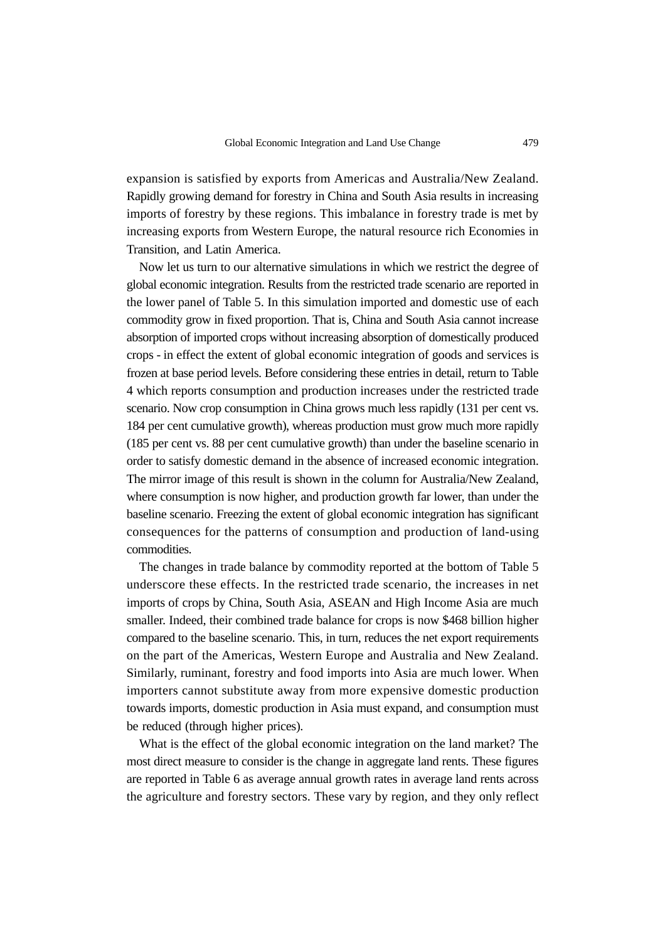expansion is satisfied by exports from Americas and Australia/New Zealand. Rapidly growing demand for forestry in China and South Asia results in increasing imports of forestry by these regions. This imbalance in forestry trade is met by increasing exports from Western Europe, the natural resource rich Economies in Transition, and Latin America.

Now let us turn to our alternative simulations in which we restrict the degree of global economic integration. Results from the restricted trade scenario are reported in the lower panel of Table 5. In this simulation imported and domestic use of each commodity grow in fixed proportion. That is, China and South Asia cannot increase absorption of imported crops without increasing absorption of domestically produced crops - in effect the extent of global economic integration of goods and services is frozen at base period levels. Before considering these entries in detail, return to Table 4 which reports consumption and production increases under the restricted trade scenario. Now crop consumption in China grows much less rapidly (131 per cent vs. 184 per cent cumulative growth), whereas production must grow much more rapidly (185 per cent vs. 88 per cent cumulative growth) than under the baseline scenario in order to satisfy domestic demand in the absence of increased economic integration. The mirror image of this result is shown in the column for Australia/New Zealand, where consumption is now higher, and production growth far lower, than under the baseline scenario. Freezing the extent of global economic integration has significant consequences for the patterns of consumption and production of land-using commodities.

The changes in trade balance by commodity reported at the bottom of Table 5 underscore these effects. In the restricted trade scenario, the increases in net imports of crops by China, South Asia, ASEAN and High Income Asia are much smaller. Indeed, their combined trade balance for crops is now \$468 billion higher compared to the baseline scenario. This, in turn, reduces the net export requirements on the part of the Americas, Western Europe and Australia and New Zealand. Similarly, ruminant, forestry and food imports into Asia are much lower. When importers cannot substitute away from more expensive domestic production towards imports, domestic production in Asia must expand, and consumption must be reduced (through higher prices).

What is the effect of the global economic integration on the land market? The most direct measure to consider is the change in aggregate land rents. These figures are reported in Table 6 as average annual growth rates in average land rents across the agriculture and forestry sectors. These vary by region, and they only reflect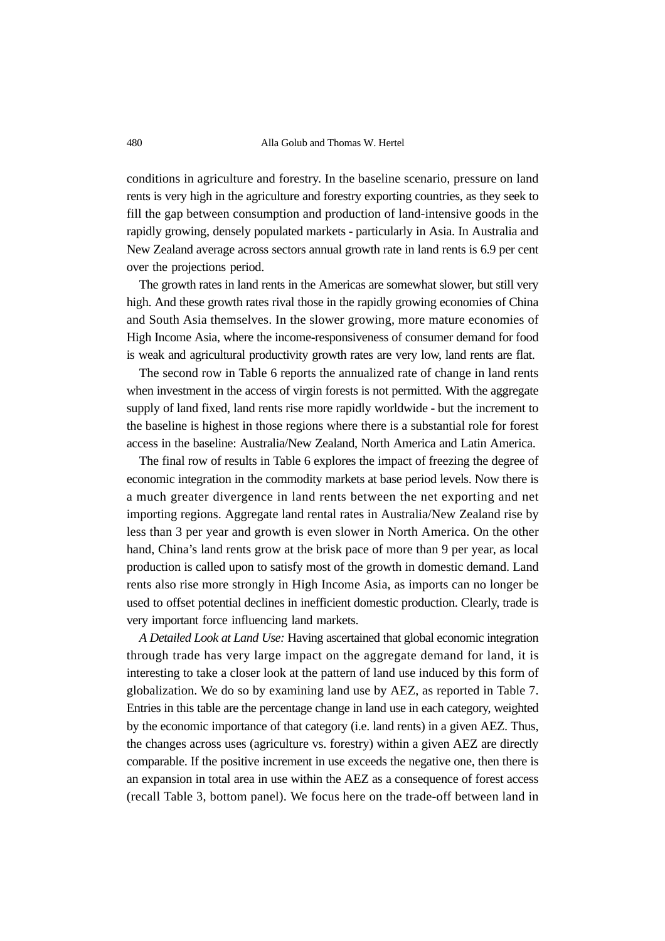conditions in agriculture and forestry. In the baseline scenario, pressure on land rents is very high in the agriculture and forestry exporting countries, as they seek to fill the gap between consumption and production of land-intensive goods in the rapidly growing, densely populated markets - particularly in Asia. In Australia and New Zealand average across sectors annual growth rate in land rents is 6.9 per cent over the projections period.

The growth rates in land rents in the Americas are somewhat slower, but still very high. And these growth rates rival those in the rapidly growing economies of China and South Asia themselves. In the slower growing, more mature economies of High Income Asia, where the income-responsiveness of consumer demand for food is weak and agricultural productivity growth rates are very low, land rents are flat.

The second row in Table 6 reports the annualized rate of change in land rents when investment in the access of virgin forests is not permitted. With the aggregate supply of land fixed, land rents rise more rapidly worldwide - but the increment to the baseline is highest in those regions where there is a substantial role for forest access in the baseline: Australia/New Zealand, North America and Latin America.

The final row of results in Table 6 explores the impact of freezing the degree of economic integration in the commodity markets at base period levels. Now there is a much greater divergence in land rents between the net exporting and net importing regions. Aggregate land rental rates in Australia/New Zealand rise by less than 3 per year and growth is even slower in North America. On the other hand, China's land rents grow at the brisk pace of more than 9 per year, as local production is called upon to satisfy most of the growth in domestic demand. Land rents also rise more strongly in High Income Asia, as imports can no longer be used to offset potential declines in inefficient domestic production. Clearly, trade is very important force influencing land markets.

*A Detailed Look at Land Use:* Having ascertained that global economic integration through trade has very large impact on the aggregate demand for land, it is interesting to take a closer look at the pattern of land use induced by this form of globalization. We do so by examining land use by AEZ, as reported in Table 7. Entries in this table are the percentage change in land use in each category, weighted by the economic importance of that category (i.e. land rents) in a given AEZ. Thus, the changes across uses (agriculture vs. forestry) within a given AEZ are directly comparable. If the positive increment in use exceeds the negative one, then there is an expansion in total area in use within the AEZ as a consequence of forest access (recall Table 3, bottom panel). We focus here on the trade-off between land in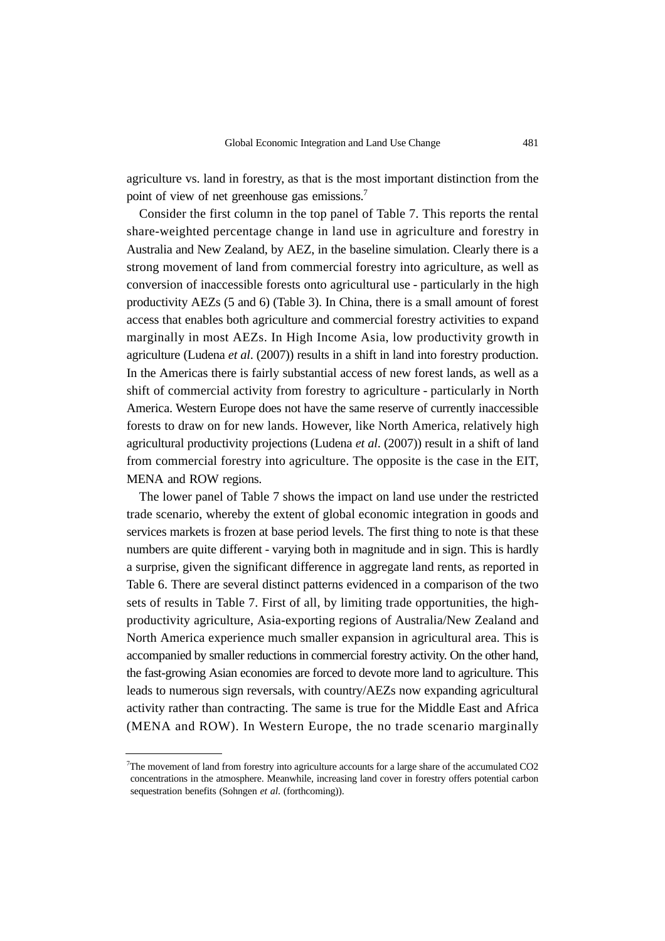agriculture vs. land in forestry, as that is the most important distinction from the point of view of net greenhouse gas emissions.<sup>7</sup>

Consider the first column in the top panel of Table 7. This reports the rental share-weighted percentage change in land use in agriculture and forestry in Australia and New Zealand, by AEZ, in the baseline simulation. Clearly there is a strong movement of land from commercial forestry into agriculture, as well as conversion of inaccessible forests onto agricultural use - particularly in the high productivity AEZs (5 and 6) (Table 3). In China, there is a small amount of forest access that enables both agriculture and commercial forestry activities to expand marginally in most AEZs. In High Income Asia, low productivity growth in agriculture (Ludena *et al*. (2007)) results in a shift in land into forestry production. In the Americas there is fairly substantial access of new forest lands, as well as a shift of commercial activity from forestry to agriculture - particularly in North America. Western Europe does not have the same reserve of currently inaccessible forests to draw on for new lands. However, like North America, relatively high agricultural productivity projections (Ludena *et al*. (2007)) result in a shift of land from commercial forestry into agriculture. The opposite is the case in the EIT, MENA and ROW regions.

The lower panel of Table 7 shows the impact on land use under the restricted trade scenario, whereby the extent of global economic integration in goods and services markets is frozen at base period levels. The first thing to note is that these numbers are quite different - varying both in magnitude and in sign. This is hardly a surprise, given the significant difference in aggregate land rents, as reported in Table 6. There are several distinct patterns evidenced in a comparison of the two sets of results in Table 7. First of all, by limiting trade opportunities, the highproductivity agriculture, Asia-exporting regions of Australia/New Zealand and North America experience much smaller expansion in agricultural area. This is accompanied by smaller reductions in commercial forestry activity. On the other hand, the fast-growing Asian economies are forced to devote more land to agriculture. This leads to numerous sign reversals, with country/AEZs now expanding agricultural activity rather than contracting. The same is true for the Middle East and Africa (MENA and ROW). In Western Europe, the no trade scenario marginally

<sup>&</sup>lt;sup>7</sup>The movement of land from forestry into agriculture accounts for a large share of the accumulated CO2 concentrations in the atmosphere. Meanwhile, increasing land cover in forestry offers potential carbon sequestration benefits (Sohngen *et al*. (forthcoming)).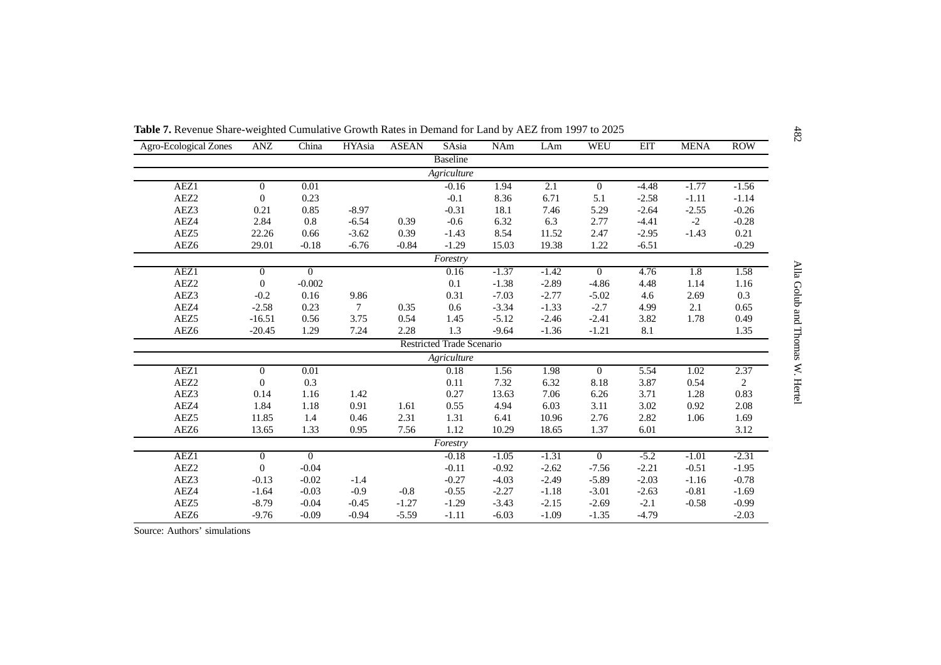| <b>Agro-Ecological Zones</b> | ANZ            | China    | HYAsia  | <b>ASEAN</b> | SAsia                            | NAm     | LAm     | <b>WEU</b>       | <b>EIT</b> | <b>MENA</b> | <b>ROW</b>     |
|------------------------------|----------------|----------|---------|--------------|----------------------------------|---------|---------|------------------|------------|-------------|----------------|
|                              |                |          |         |              | <b>Baseline</b>                  |         |         |                  |            |             |                |
|                              |                |          |         |              | Agriculture                      |         |         |                  |            |             |                |
| AEZ1                         | $\overline{0}$ | 0.01     |         |              | $-0.16$                          | 1.94    | 2.1     | $\boldsymbol{0}$ | $-4.48$    | $-1.77$     | $-1.56$        |
| AEZ2                         | $\Omega$       | 0.23     |         |              | $-0.1$                           | 8.36    | 6.71    | 5.1              | $-2.58$    | $-1.11$     | $-1.14$        |
| AEZ3                         | 0.21           | 0.85     | $-8.97$ |              | $-0.31$                          | 18.1    | 7.46    | 5.29             | $-2.64$    | $-2.55$     | $-0.26$        |
| AEZ4                         | 2.84           | 0.8      | $-6.54$ | 0.39         | $-0.6$                           | 6.32    | 6.3     | 2.77             | $-4.41$    | $-2$        | $-0.28$        |
| AEZ5                         | 22.26          | 0.66     | $-3.62$ | 0.39         | $-1.43$                          | 8.54    | 11.52   | 2.47             | $-2.95$    | $-1.43$     | 0.21           |
| AEZ <sub>6</sub>             | 29.01          | $-0.18$  | $-6.76$ | $-0.84$      | $-1.29$                          | 15.03   | 19.38   | 1.22             | $-6.51$    |             | $-0.29$        |
|                              |                |          |         |              | Forestry                         |         |         |                  |            |             |                |
| AEZ1                         | $\Omega$       | $\Omega$ |         |              | 0.16                             | $-1.37$ | $-1.42$ | $\Omega$         | 4.76       | 1.8         | 1.58           |
| AEZ <sub>2</sub>             | $\overline{0}$ | $-0.002$ |         |              | 0.1                              | $-1.38$ | $-2.89$ | $-4.86$          | 4.48       | 1.14        | 1.16           |
| AEZ3                         | $-0.2$         | 0.16     | 9.86    |              | 0.31                             | $-7.03$ | $-2.77$ | $-5.02$          | 4.6        | 2.69        | 0.3            |
| AEZ4                         | $-2.58$        | 0.23     | 7       | 0.35         | 0.6                              | $-3.34$ | $-1.33$ | $-2.7$           | 4.99       | 2.1         | 0.65           |
| AEZ <sub>5</sub>             | $-16.51$       | 0.56     | 3.75    | 0.54         | 1.45                             | $-5.12$ | $-2.46$ | $-2.41$          | 3.82       | 1.78        | 0.49           |
| AEZ6                         | $-20.45$       | 1.29     | 7.24    | 2.28         | 1.3                              | $-9.64$ | $-1.36$ | $-1.21$          | 8.1        |             | 1.35           |
|                              |                |          |         |              | <b>Restricted Trade Scenario</b> |         |         |                  |            |             |                |
|                              |                |          |         |              | Agriculture                      |         |         |                  |            |             |                |
| AEZ1                         | $\mathbf{0}$   | 0.01     |         |              | 0.18                             | 1.56    | 1.98    | $\boldsymbol{0}$ | 5.54       | 1.02        | 2.37           |
| AEZ2                         | $\theta$       | 0.3      |         |              | 0.11                             | 7.32    | 6.32    | 8.18             | 3.87       | 0.54        | $\overline{2}$ |
| AEZ3                         | 0.14           | 1.16     | 1.42    |              | 0.27                             | 13.63   | 7.06    | 6.26             | 3.71       | 1.28        | 0.83           |
| AEZ4                         | 1.84           | 1.18     | 0.91    | 1.61         | 0.55                             | 4.94    | 6.03    | 3.11             | 3.02       | 0.92        | 2.08           |
| AEZ <sub>5</sub>             | 11.85          | 1.4      | 0.46    | 2.31         | 1.31                             | 6.41    | 10.96   | 2.76             | 2.82       | 1.06        | 1.69           |
| AEZ <sub>6</sub>             | 13.65          | 1.33     | 0.95    | 7.56         | 1.12                             | 10.29   | 18.65   | 1.37             | 6.01       |             | 3.12           |
|                              |                |          |         |              | Forestry                         |         |         |                  |            |             |                |
| AEZ1                         | $\mathbf{0}$   | $\Omega$ |         |              | $-0.18$                          | $-1.05$ | $-1.31$ | $\overline{0}$   | $-5.2$     | $-1.01$     | $-2.31$        |
| AEZ2                         | $\Omega$       | $-0.04$  |         |              | $-0.11$                          | $-0.92$ | $-2.62$ | $-7.56$          | $-2.21$    | $-0.51$     | $-1.95$        |
| AEZ3                         | $-0.13$        | $-0.02$  | $-1.4$  |              | $-0.27$                          | $-4.03$ | $-2.49$ | $-5.89$          | $-2.03$    | $-1.16$     | $-0.78$        |
| AEZ4                         | $-1.64$        | $-0.03$  | $-0.9$  | $-0.8$       | $-0.55$                          | $-2.27$ | $-1.18$ | $-3.01$          | $-2.63$    | $-0.81$     | $-1.69$        |
| AEZ <sub>5</sub>             | $-8.79$        | $-0.04$  | $-0.45$ | $-1.27$      | $-1.29$                          | $-3.43$ | $-2.15$ | $-2.69$          | $-2.1$     | $-0.58$     | $-0.99$        |
| AEZ6                         | $-9.76$        | $-0.09$  | $-0.94$ | $-5.59$      | $-1.11$                          | $-6.03$ | $-1.09$ | $-1.35$          | $-4.79$    |             | $-2.03$        |

Source: Authors' simulations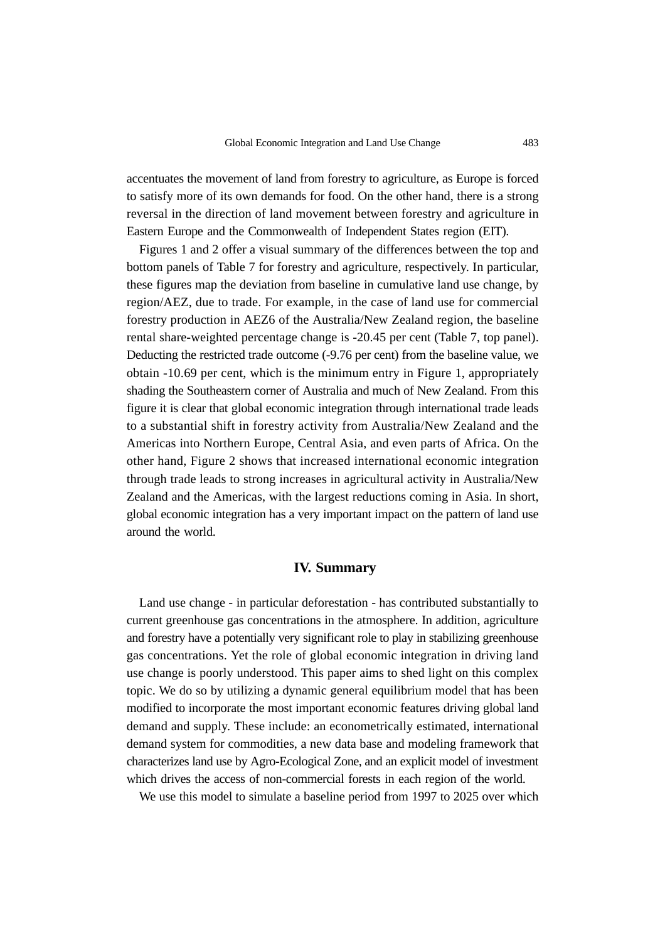accentuates the movement of land from forestry to agriculture, as Europe is forced to satisfy more of its own demands for food. On the other hand, there is a strong reversal in the direction of land movement between forestry and agriculture in Eastern Europe and the Commonwealth of Independent States region (EIT).

Figures 1 and 2 offer a visual summary of the differences between the top and bottom panels of Table 7 for forestry and agriculture, respectively. In particular, these figures map the deviation from baseline in cumulative land use change, by region/AEZ, due to trade. For example, in the case of land use for commercial forestry production in AEZ6 of the Australia/New Zealand region, the baseline rental share-weighted percentage change is -20.45 per cent (Table 7, top panel). Deducting the restricted trade outcome (-9.76 per cent) from the baseline value, we obtain -10.69 per cent, which is the minimum entry in Figure 1, appropriately shading the Southeastern corner of Australia and much of New Zealand. From this figure it is clear that global economic integration through international trade leads to a substantial shift in forestry activity from Australia/New Zealand and the Americas into Northern Europe, Central Asia, and even parts of Africa. On the other hand, Figure 2 shows that increased international economic integration through trade leads to strong increases in agricultural activity in Australia/New Zealand and the Americas, with the largest reductions coming in Asia. In short, global economic integration has a very important impact on the pattern of land use around the world.

#### **IV. Summary**

Land use change - in particular deforestation - has contributed substantially to current greenhouse gas concentrations in the atmosphere. In addition, agriculture and forestry have a potentially very significant role to play in stabilizing greenhouse gas concentrations. Yet the role of global economic integration in driving land use change is poorly understood. This paper aims to shed light on this complex topic. We do so by utilizing a dynamic general equilibrium model that has been modified to incorporate the most important economic features driving global land demand and supply. These include: an econometrically estimated, international demand system for commodities, a new data base and modeling framework that characterizes land use by Agro-Ecological Zone, and an explicit model of investment which drives the access of non-commercial forests in each region of the world.

We use this model to simulate a baseline period from 1997 to 2025 over which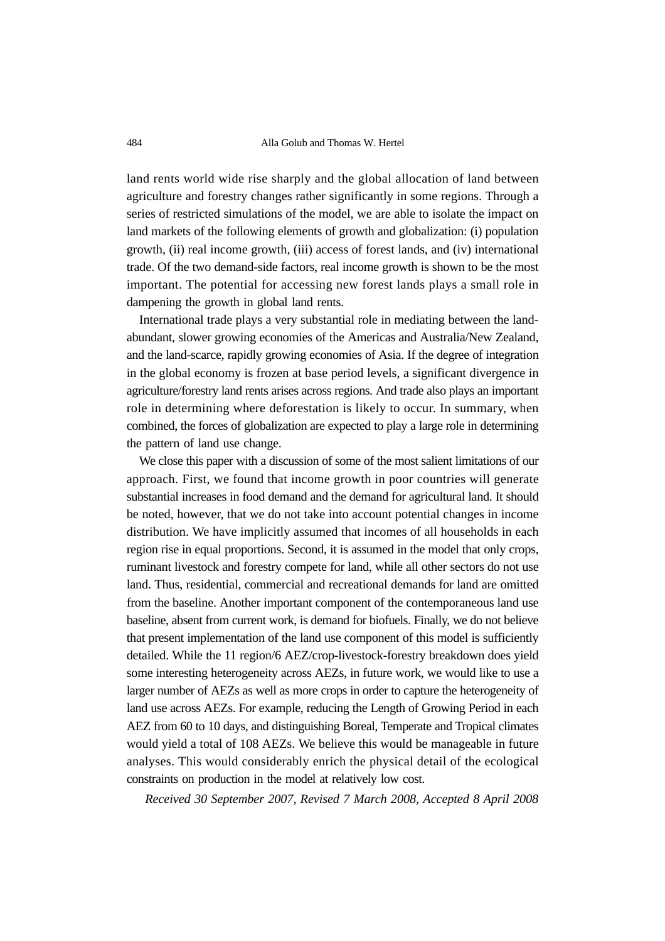484 Alla Golub and Thomas W. Hertel

land rents world wide rise sharply and the global allocation of land between agriculture and forestry changes rather significantly in some regions. Through a series of restricted simulations of the model, we are able to isolate the impact on land markets of the following elements of growth and globalization: (i) population growth, (ii) real income growth, (iii) access of forest lands, and (iv) international trade. Of the two demand-side factors, real income growth is shown to be the most important. The potential for accessing new forest lands plays a small role in dampening the growth in global land rents.

International trade plays a very substantial role in mediating between the landabundant, slower growing economies of the Americas and Australia/New Zealand, and the land-scarce, rapidly growing economies of Asia. If the degree of integration in the global economy is frozen at base period levels, a significant divergence in agriculture/forestry land rents arises across regions. And trade also plays an important role in determining where deforestation is likely to occur. In summary, when combined, the forces of globalization are expected to play a large role in determining the pattern of land use change.

We close this paper with a discussion of some of the most salient limitations of our approach. First, we found that income growth in poor countries will generate substantial increases in food demand and the demand for agricultural land. It should be noted, however, that we do not take into account potential changes in income distribution. We have implicitly assumed that incomes of all households in each region rise in equal proportions. Second, it is assumed in the model that only crops, ruminant livestock and forestry compete for land, while all other sectors do not use land. Thus, residential, commercial and recreational demands for land are omitted from the baseline. Another important component of the contemporaneous land use baseline, absent from current work, is demand for biofuels. Finally, we do not believe that present implementation of the land use component of this model is sufficiently detailed. While the 11 region/6 AEZ/crop-livestock-forestry breakdown does yield some interesting heterogeneity across AEZs, in future work, we would like to use a larger number of AEZs as well as more crops in order to capture the heterogeneity of land use across AEZs. For example, reducing the Length of Growing Period in each AEZ from 60 to 10 days, and distinguishing Boreal, Temperate and Tropical climates would yield a total of 108 AEZs. We believe this would be manageable in future analyses. This would considerably enrich the physical detail of the ecological constraints on production in the model at relatively low cost.

*Received 30 September 2007, Revised 7 March 2008, Accepted 8 April 2008*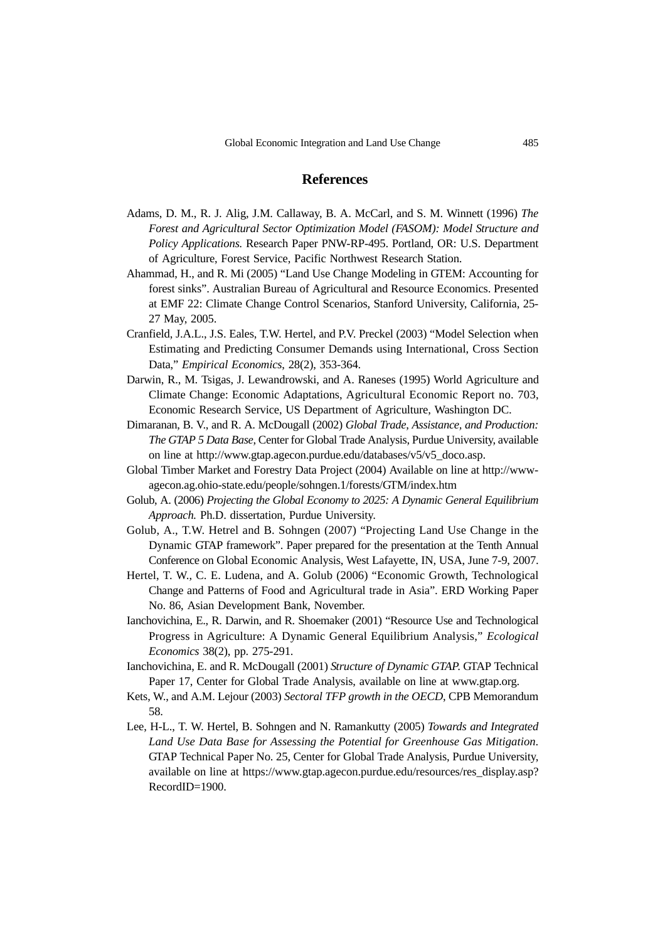## **References**

- Adams, D. M., R. J. Alig, J.M. Callaway, B. A. McCarl, and S. M. Winnett (1996) *The Forest and Agricultural Sector Optimization Model (FASOM): Model Structure and Policy Applications.* Research Paper PNW-RP-495. Portland, OR: U.S. Department of Agriculture, Forest Service, Pacific Northwest Research Station.
- Ahammad, H., and R. Mi (2005) "Land Use Change Modeling in GTEM: Accounting for forest sinks". Australian Bureau of Agricultural and Resource Economics. Presented at EMF 22: Climate Change Control Scenarios, Stanford University, California, 25- 27 May, 2005.
- Cranfield, J.A.L., J.S. Eales, T.W. Hertel, and P.V. Preckel (2003) "Model Selection when Estimating and Predicting Consumer Demands using International, Cross Section Data," *Empirical Economics*, 28(2), 353-364.
- Darwin, R., M. Tsigas, J. Lewandrowski, and A. Raneses (1995) World Agriculture and Climate Change: Economic Adaptations, Agricultural Economic Report no. 703, Economic Research Service, US Department of Agriculture, Washington DC.
- Dimaranan, B. V., and R. A. McDougall (2002) *Global Trade*, *Assistance, and Production: The GTAP 5 Data Base*, Center for Global Trade Analysis, Purdue University, available on line at http://www.gtap.agecon.purdue.edu/databases/v5/v5\_doco.asp.
- Global Timber Market and Forestry Data Project (2004) Available on line at http://wwwagecon.ag.ohio-state.edu/people/sohngen.1/forests/GTM/index.htm
- Golub, A. (2006) *Projecting the Global Economy to 2025: A Dynamic General Equilibrium Approach.* Ph.D. dissertation, Purdue University.
- Golub, A., T.W. Hetrel and B. Sohngen (2007) "Projecting Land Use Change in the Dynamic GTAP framework". Paper prepared for the presentation at the Tenth Annual Conference on Global Economic Analysis, West Lafayette, IN, USA, June 7-9, 2007.
- Hertel, T. W., C. E. Ludena, and A. Golub (2006) "Economic Growth, Technological Change and Patterns of Food and Agricultural trade in Asia". ERD Working Paper No. 86, Asian Development Bank, November.
- Ianchovichina, E., R. Darwin, and R. Shoemaker (2001) "Resource Use and Technological Progress in Agriculture: A Dynamic General Equilibrium Analysis," *Ecological Economics* 38(2), pp. 275-291.
- Ianchovichina, E. and R. McDougall (2001) *Structure of Dynamic GTAP*. GTAP Technical Paper 17, Center for Global Trade Analysis, available on line at www.gtap.org.
- Kets, W., and A.M. Lejour (2003) *Sectoral TFP growth in the OECD*, CPB Memorandum 58.
- Lee, H-L., T. W. Hertel, B. Sohngen and N. Ramankutty (2005) *Towards and Integrated Land Use Data Base for Assessing the Potential for Greenhouse Gas Mitigation*. GTAP Technical Paper No. 25, Center for Global Trade Analysis, Purdue University, available on line at https://www.gtap.agecon.purdue.edu/resources/res\_display.asp? RecordID=1900.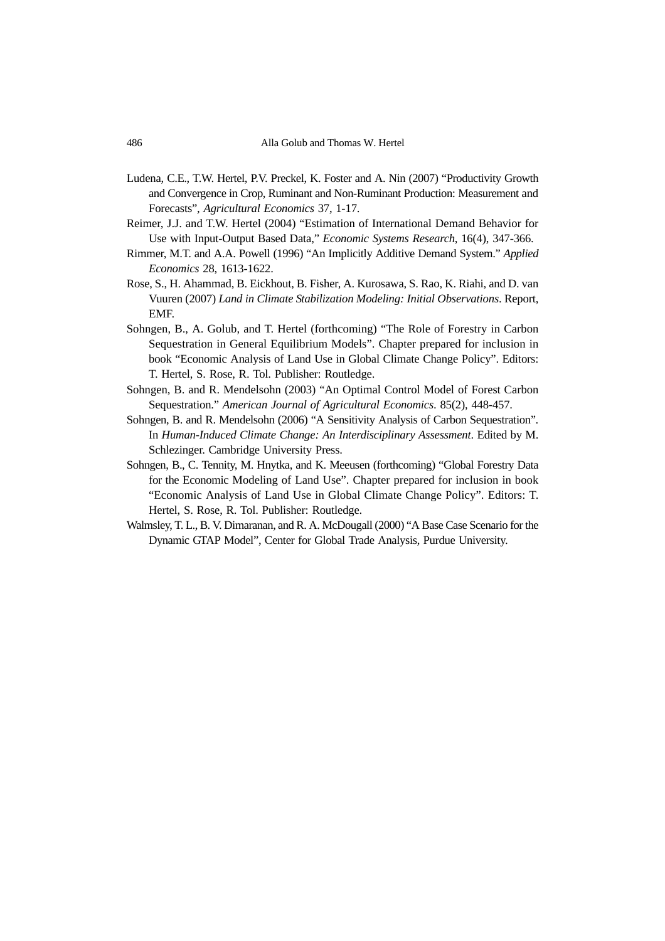- Ludena, C.E., T.W. Hertel, P.V. Preckel, K. Foster and A. Nin (2007) "Productivity Growth and Convergence in Crop, Ruminant and Non-Ruminant Production: Measurement and Forecasts", *Agricultural Economics* 37, 1-17.
- Reimer, J.J. and T.W. Hertel (2004) "Estimation of International Demand Behavior for Use with Input-Output Based Data," *Economic Systems Research*, 16(4), 347-366.
- Rimmer, M.T. and A.A. Powell (1996) "An Implicitly Additive Demand System." *Applied Economics* 28, 1613-1622.
- Rose, S., H. Ahammad, B. Eickhout, B. Fisher, A. Kurosawa, S. Rao, K. Riahi, and D. van Vuuren (2007) *Land in Climate Stabilization Modeling: Initial Observations*. Report, EMF.
- Sohngen, B., A. Golub, and T. Hertel (forthcoming) "The Role of Forestry in Carbon Sequestration in General Equilibrium Models". Chapter prepared for inclusion in book "Economic Analysis of Land Use in Global Climate Change Policy". Editors: T. Hertel, S. Rose, R. Tol. Publisher: Routledge.
- Sohngen, B. and R. Mendelsohn (2003) "An Optimal Control Model of Forest Carbon Sequestration." *American Journal of Agricultural Economics*. 85(2), 448-457.
- Sohngen, B. and R. Mendelsohn (2006) "A Sensitivity Analysis of Carbon Sequestration". In *Human-Induced Climate Change: An Interdisciplinary Assessment*. Edited by M. Schlezinger. Cambridge University Press.
- Sohngen, B., C. Tennity, M. Hnytka, and K. Meeusen (forthcoming) "Global Forestry Data for the Economic Modeling of Land Use". Chapter prepared for inclusion in book "Economic Analysis of Land Use in Global Climate Change Policy". Editors: T. Hertel, S. Rose, R. Tol. Publisher: Routledge.
- Walmsley, T. L., B. V. Dimaranan, and R. A. McDougall (2000) "A Base Case Scenario for the Dynamic GTAP Model", Center for Global Trade Analysis, Purdue University.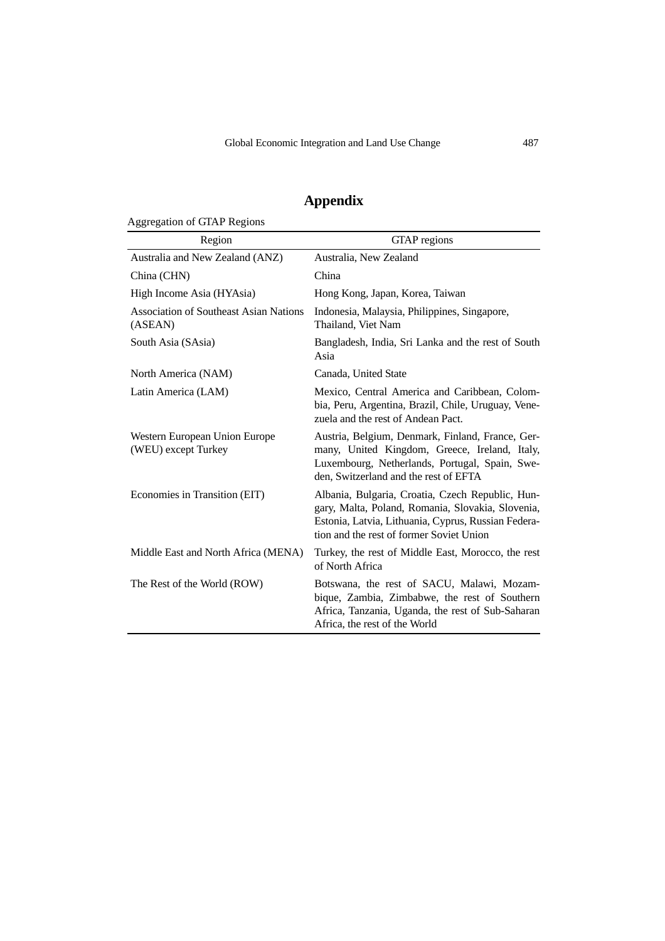# **Appendix**

Aggregation of GTAP Regions

| Region                                                   | GTAP regions                                                                                                                                                                                             |
|----------------------------------------------------------|----------------------------------------------------------------------------------------------------------------------------------------------------------------------------------------------------------|
| Australia and New Zealand (ANZ)                          | Australia, New Zealand                                                                                                                                                                                   |
| China (CHN)                                              | China                                                                                                                                                                                                    |
| High Income Asia (HYAsia)                                | Hong Kong, Japan, Korea, Taiwan                                                                                                                                                                          |
| <b>Association of Southeast Asian Nations</b><br>(ASEAN) | Indonesia, Malaysia, Philippines, Singapore,<br>Thailand, Viet Nam                                                                                                                                       |
| South Asia (SAsia)                                       | Bangladesh, India, Sri Lanka and the rest of South<br>Asia                                                                                                                                               |
| North America (NAM)                                      | Canada, United State                                                                                                                                                                                     |
| Latin America (LAM)                                      | Mexico, Central America and Caribbean, Colom-<br>bia, Peru, Argentina, Brazil, Chile, Uruguay, Vene-<br>zuela and the rest of Andean Pact.                                                               |
| Western European Union Europe<br>(WEU) except Turkey     | Austria, Belgium, Denmark, Finland, France, Ger-<br>many, United Kingdom, Greece, Ireland, Italy,<br>Luxembourg, Netherlands, Portugal, Spain, Swe-<br>den, Switzerland and the rest of EFTA             |
| Economies in Transition (EIT)                            | Albania, Bulgaria, Croatia, Czech Republic, Hun-<br>gary, Malta, Poland, Romania, Slovakia, Slovenia,<br>Estonia, Latvia, Lithuania, Cyprus, Russian Federa-<br>tion and the rest of former Soviet Union |
| Middle East and North Africa (MENA)                      | Turkey, the rest of Middle East, Morocco, the rest<br>of North Africa                                                                                                                                    |
| The Rest of the World (ROW)                              | Botswana, the rest of SACU, Malawi, Mozam-<br>bique, Zambia, Zimbabwe, the rest of Southern<br>Africa, Tanzania, Uganda, the rest of Sub-Saharan<br>Africa, the rest of the World                        |